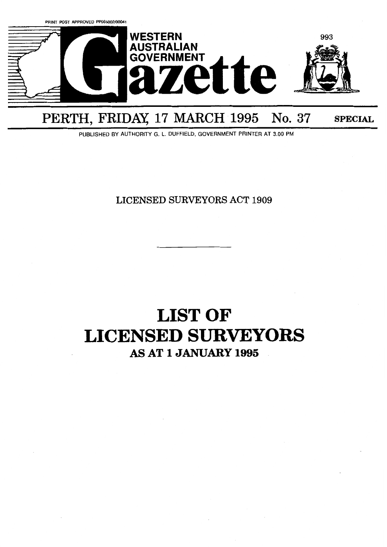

## PERTH, **FRIDAX** 17 **MARCH 1995** No. **37 SPECIAL**

PUBLISHED BY AUTHORITY G. L. DUFFIELD, GOVERNMENT PRINTER AT 3.00 PM

### LICENSED SURVEYORS ACT 1909

# **LIST OF LICENSED SURVEYORS**  AS **AT 1 JANUARY 1995**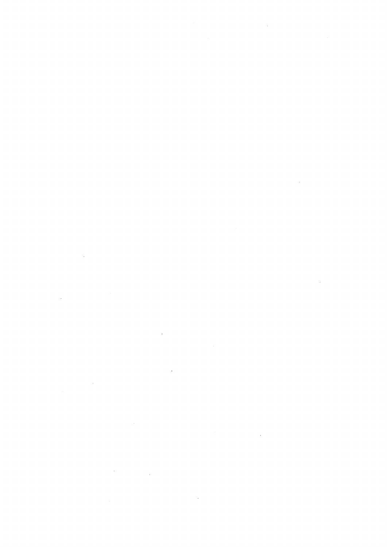$\label{eq:2.1} \frac{1}{\sqrt{2}}\int_{\mathbb{R}^3}\frac{1}{\sqrt{2}}\left(\frac{1}{\sqrt{2}}\right)^2\frac{1}{\sqrt{2}}\left(\frac{1}{\sqrt{2}}\right)^2\frac{1}{\sqrt{2}}\left(\frac{1}{\sqrt{2}}\right)^2\frac{1}{\sqrt{2}}\left(\frac{1}{\sqrt{2}}\right)^2.$ 

 $\label{eq:2.1} \frac{1}{\sqrt{2}}\int_{\mathbb{R}^3} \frac{1}{\sqrt{2}}\left(\frac{1}{\sqrt{2}}\right)^2\frac{1}{\sqrt{2}}\left(\frac{1}{\sqrt{2}}\right)^2\frac{1}{\sqrt{2}}\left(\frac{1}{\sqrt{2}}\right)^2\frac{1}{\sqrt{2}}\left(\frac{1}{\sqrt{2}}\right)^2.$ 

 $\label{eq:2.1} \frac{1}{\sqrt{2\pi}}\int_{\mathbb{R}^3}\frac{1}{\sqrt{2\pi}}\int_{\mathbb{R}^3}\frac{1}{\sqrt{2\pi}}\int_{\mathbb{R}^3}\frac{1}{\sqrt{2\pi}}\int_{\mathbb{R}^3}\frac{1}{\sqrt{2\pi}}\int_{\mathbb{R}^3}\frac{1}{\sqrt{2\pi}}\int_{\mathbb{R}^3}\frac{1}{\sqrt{2\pi}}\int_{\mathbb{R}^3}\frac{1}{\sqrt{2\pi}}\int_{\mathbb{R}^3}\frac{1}{\sqrt{2\pi}}\int_{\mathbb{R}^3}\frac{1$ 

 $\mathcal{L}(\mathcal{L}^{\text{max}}_{\mathcal{L}}(\mathcal{L}^{\text{max}}_{\mathcal{L}}))$  $\label{eq:2.1} \frac{1}{\sqrt{2}}\int_{\mathbb{R}^3}\frac{1}{\sqrt{2}}\left(\frac{1}{\sqrt{2}}\right)^2\frac{1}{\sqrt{2}}\left(\frac{1}{\sqrt{2}}\right)^2\frac{1}{\sqrt{2}}\left(\frac{1}{\sqrt{2}}\right)^2\frac{1}{\sqrt{2}}\left(\frac{1}{\sqrt{2}}\right)^2.$ 

 $\label{eq:2.1} \frac{1}{\sqrt{2\pi}}\int_{0}^{\infty}\frac{1}{\sqrt{2\pi}}\left(\frac{1}{\sqrt{2\pi}}\int_{0}^{\infty}\frac{1}{\sqrt{2\pi}}\left(\frac{1}{\sqrt{2\pi}}\int_{0}^{\infty}\frac{1}{\sqrt{2\pi}}\right)\frac{1}{\sqrt{2\pi}}\right)\frac{1}{\sqrt{2\pi}}\frac{1}{\sqrt{2\pi}}\frac{1}{\sqrt{2\pi}}\frac{1}{\sqrt{2\pi}}\frac{1}{\sqrt{2\pi}}\frac{1}{\sqrt{2\pi}}\frac{1}{\sqrt{2\pi}}\frac{1}{\sqrt{$ 

 $\label{eq:2.1} \frac{1}{\sqrt{2}}\int_{\mathbb{R}^3}\frac{1}{\sqrt{2}}\left(\frac{1}{\sqrt{2}}\right)^2\left(\frac{1}{\sqrt{2}}\right)^2\left(\frac{1}{\sqrt{2}}\right)^2\left(\frac{1}{\sqrt{2}}\right)^2\left(\frac{1}{\sqrt{2}}\right)^2\left(\frac{1}{\sqrt{2}}\right)^2\left(\frac{1}{\sqrt{2}}\right)^2\left(\frac{1}{\sqrt{2}}\right)^2\left(\frac{1}{\sqrt{2}}\right)^2\left(\frac{1}{\sqrt{2}}\right)^2\left(\frac{1}{\sqrt{2}}\right)^2\left(\frac$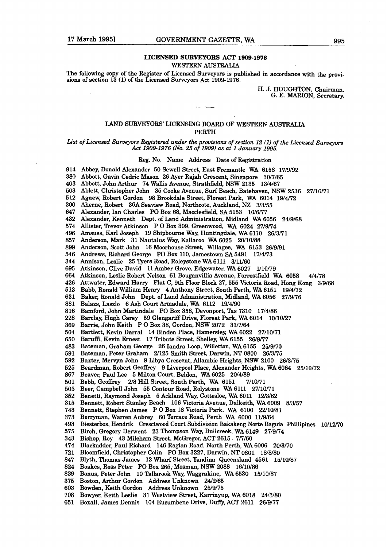#### **WCENSED SURVEYORS ACT 1909-1976**  WESTERN AUSTRALIA

The following copy of the Register of Licensed Surveyors is published in accordance with the provisions of section **13 (1)** of the Licensed Surveyors Act **1909-1976.** 

> H. J. HOUGHTON, Chairman. G. E. MGRION, **Secretary,**

#### LAND SURVEYORS' LICENSING BOARD OF WESTERN AUSTRALIA PERTH

*List of Licensed Surveyors Registered under the provisions of section 12 (11 of the Licensed Surveyors Act 1909-1976 No. 25 of 1909)* **as** *at 1 January 1995.* 

#### Reg. No. Name Address Date of Registration

Abbey, Donald Alexander **50** Sewell Street, East Fremantle WA **6158 17/9/92** 

- Abbott, Gavin Cedric Mason **26** Ayer **Rajah** Crescent, Singapore **3017165**
- Abbott, John Arthur **74** Wallis Avenue, Strathfield, NSW **2135 13/4/67**
- Ablett, Christopher John **35** Cooke Avenue, Surf Beach, Batehaven, NSW **2536 27/10/71**
- Agnew, Robert Gordon **98** Brookdale Street, Floreat Park, WA 6014 **19/4/72**
- Aherne, Robert **36A** Seaview Road, Northcote, Auckland, NZ **3/3/55**
- Alexander, Ian Charles PO Box **68,** Macclesfield, SA **5153 10/6/77**
- Alexander, Kenneth Dept. of Land Administration, Midland WA **6056 24/9/68**
- 574
- Allister, Trevor Atkinson P 0 Box **309,** Greenwood, WA **6024 27/9/74**  Amsuss, Karl Joseph 19 Shipbourne Way, Huntingdale, WA 6110 496
- 857 Anderson, Mark **31** Nautalus Way, Kallaroo WA **6025 20/10/88**

Anderson, Scott John **16** Moorhouse Street, Willagee, WA **6153 26/9/91** 

Andrews, Richard George PO Box **110,** Jamestown SA **5491 17/4/73** 

Annison, Leslie **25** Tyers Road, Roleystone WA **6111 3/11/60** 

- Atkinson, Clive David **11** Amber Grove, Edgewater, WA **6027 1/10/79**
- Atkinson, Leslie Robert Nelson **61** Bouganvillia Avenue, Forrestfield WA **6058 4/4/78**
- Attwater, Edward Harry Flat C, 9th Floor Block **27,555** Vidoria Road, Hong Kong **3/9/68**
- Babb, Ronald William Henry **4** Anthony Street, South Perth, WA **6151 19/4/72**
- 
- Baker, Ronald John Dept. of Land Administration, Midland, WA **6056 27/9/76**
- Balazs, Laszlo **6** Ash Court Armadale, WA **6112 19/4/90**
- Bamford, John Martindale PO Box **358,** Devonprt, **Tas 7310 17/4/86**
- Barclay, Hugh Carey **59** Glengariff Drive, Floreat Park, WA **6014 10/10/27**
- Barrie, John Keith P 0 Box **38,** Gordon, NSW **2072 31/7/64**
- 504 Bartlett, Kevin Darral **14** Binden Place, Hamersley, WA **6022 27/10/71**
- 650 Baruffi, Kevin Ernest 17 Tribute Street, Shelley, WA 6155 26/9/77
- Bateman, Graham George **26** Iandra Loop, Willetton, WA **6155 25/9/70**  483
- Bateman, Peter Graham **a125** Smith Street, Darwin, **NT 0800 26/3/75**  591
- 592 Baxter, Mervyn John **9** Libya Crescent, Allambie Heights, NSW **2100 26/3/75**
- Beardman, Robert Geoffrey **9** Liverpool Place, Alexander Heights, WA 6064 **25/10/72**  525
- 867 Beaver, Paul **Lee 5** Milton Court, Beldon, WA **6025 20/4/89**
- Bebb, Geoffrey **218** Hill Street, South Perth, WA **6151 7/10/71**
- Beer, Campbell John 55 Contour Road, Rolystone WA **6111 27/10/71**
- Benetti, Raymond Joseph **5** Ackland Way, Cottesloe, WA **6011 12/3/62**
- Bennett, **Robert** Stanley Beach **106** Victoria Avenue, Dalkeith, WA **6009 8/3/57**
- Bennett, Stephen James P 0 Box **18** Victoria Park. **WA 6100 22/10/81**
- Benyman, Warren Aubrey 60 Terrace Road, Perth WA **6000 1l/9/64**
- Biesterbos, **Headrik** Cresctwood Court Subdivision Bakakeng **Norte** Baguia Phillipines **10/12/70**
- Birch, Gregory Derwent **23** Thompson Way, Bullcreek, WA **6149 27/9/74**
- Bishop, Roy **43** Mileham Street, McGregor, ACT **2615 7/7/60**
- Blackadder, Paul Richard **146** Raglan Road, North Perth, WA **6006 20/3/70**
- 721 Bloomfield, Christopher Colin PO Box **3227,** Darwin, **NT 0801 18/8/80**
- Blyth, Thomas **James 12 Wharf** Street, Yandina Queensland **4561 15/10/87**  847
- Boakes, Ross Peter PO Box **265,** Mosman, NSW **2088 16/10/86**  824
- 839 Bonus, Peter John **10** Tallarook Way, Waggrakine, WA **6530 15/10/87**
- 375 Boston, Arthur Gordon Address Unknown **24/2/65**
- Bowden, Keith Gordon Address Unknown **25/9/75**  603
- Bowyer, Keith Leslie 31 Westview Street, Karrinyup, WA 6018 24/3/80 708
- Boxall, James Dennis **104** Eucumbene Drive, Duffy,ACT **261 26/9/77**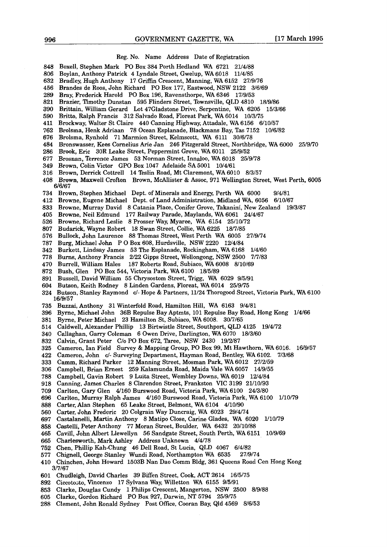Reg. No. Name Address Date of Registration

| 848<br>806<br>632<br>456<br>289<br>821<br>390<br>590<br>411<br>762<br>676<br>484<br>286<br>677<br>349 | Boxell, Stephen Mark PO Box 384 Porth Hedland WA 6721 21/4/88<br>Boylan, Anthony Patrick 4 Lyndale Street, Gwelup, WA 6018 11/4/85<br>Bradley, Hugh Anthony 17 Griffin Crescent, Manning, WA 6152 27/9/76<br>Brandes de Roos, John Richard PO Box 177, Eastwood, NSW 2122 3/6/69<br>Bray, Frederick Harold PO Box 196, Ravensthorpe, WA 6346 17/9/53<br>Brazier, Timothy Dunstan 595 Flinders Street, Townsville, QLD 4810 18/9/86<br>Brittain, William Gerard Lot 47Gladstone Drive, Serpentine, WA 6205 15/3/66<br>Britto, Ralph Francis 312 Salvado Road, Floreat Park, WA 6014 10/3/75<br>Brockway, Walter St Claire 440 Canning Highway, Attadale, WA 6156 6/10/57<br>Brolsma, Henk Adriaan 78 Ocean Esplanade, Blackmans Bay, Tas 7152 10/6/82<br>Brolsma, Rynhold 71 Marmion Street, Kelmscott, WA 6111 30/6/78<br>Bronswasser, Kees Cornelius Arie Jan 246 Fitzgerald Street, Northbridge, WA 6000 25/9/70<br>Brook, Eric 30R Leake Street, Peppermint Grove, WA 6011 25/9/52<br>Brosnan, Terrence James 53 Norman Street, Innaloo, WA 6018 25/9/78<br>Brown, Colin Victor GPO Box 1047 Adelaide SA 5001 10/4/61 |
|-------------------------------------------------------------------------------------------------------|--------------------------------------------------------------------------------------------------------------------------------------------------------------------------------------------------------------------------------------------------------------------------------------------------------------------------------------------------------------------------------------------------------------------------------------------------------------------------------------------------------------------------------------------------------------------------------------------------------------------------------------------------------------------------------------------------------------------------------------------------------------------------------------------------------------------------------------------------------------------------------------------------------------------------------------------------------------------------------------------------------------------------------------------------------------------------------------------------------------------------|
| 316                                                                                                   | Brown, Derrick Cottrell 14 Teslin Road, Mt Claremont, WA 6010 8/3/57                                                                                                                                                                                                                                                                                                                                                                                                                                                                                                                                                                                                                                                                                                                                                                                                                                                                                                                                                                                                                                                     |
| 408                                                                                                   | Brown, Maxwell Crofton Brown, McAllister & Assoc, 971 Wellington Street, West Perth, 6005<br>6/6/67                                                                                                                                                                                                                                                                                                                                                                                                                                                                                                                                                                                                                                                                                                                                                                                                                                                                                                                                                                                                                      |
| 734                                                                                                   | Brown, Stephen Michael Dept. of Minerals and Energy, Perth WA 6000<br>9/4/81                                                                                                                                                                                                                                                                                                                                                                                                                                                                                                                                                                                                                                                                                                                                                                                                                                                                                                                                                                                                                                             |
| 412                                                                                                   | Browne, Eugene Michael Dept. of Land Administration, Midland WA, 6056 6/10/67                                                                                                                                                                                                                                                                                                                                                                                                                                                                                                                                                                                                                                                                                                                                                                                                                                                                                                                                                                                                                                            |
| 833                                                                                                   | Browne, Murray David 8 Catania Place, Conifer Grove, Takanini, New Zealand 19/3/87                                                                                                                                                                                                                                                                                                                                                                                                                                                                                                                                                                                                                                                                                                                                                                                                                                                                                                                                                                                                                                       |
| 405                                                                                                   | Browne, Neil Edmund 177 Railway Parade, Maylands, WA 6061 24/4/67                                                                                                                                                                                                                                                                                                                                                                                                                                                                                                                                                                                                                                                                                                                                                                                                                                                                                                                                                                                                                                                        |
| 526<br>807                                                                                            | Browne, Richard Leslie 8 Prosser Way, Myaree, WA 6154 25/10/72<br>Budarick, Wayne Robert 18 Swan Street, Collie, WA 6225 18/7/85                                                                                                                                                                                                                                                                                                                                                                                                                                                                                                                                                                                                                                                                                                                                                                                                                                                                                                                                                                                         |
| 576                                                                                                   | Bullock, John Laurence 88 Thomas Street, West Perth WA 6005 27/9/74                                                                                                                                                                                                                                                                                                                                                                                                                                                                                                                                                                                                                                                                                                                                                                                                                                                                                                                                                                                                                                                      |
| 787                                                                                                   | Burg, Michael John P O Box 608, Hurdsville, NSW 2220 12/4/84                                                                                                                                                                                                                                                                                                                                                                                                                                                                                                                                                                                                                                                                                                                                                                                                                                                                                                                                                                                                                                                             |
| 342                                                                                                   | Burkett, Lindsay James 53 The Esplanade, Rockingham, WA 6168<br><b>1/4/60</b>                                                                                                                                                                                                                                                                                                                                                                                                                                                                                                                                                                                                                                                                                                                                                                                                                                                                                                                                                                                                                                            |
| 778                                                                                                   | Burns, Anthony Francis 2/22 Gipps Street, Wollongong, NSW 2500 7/7/83                                                                                                                                                                                                                                                                                                                                                                                                                                                                                                                                                                                                                                                                                                                                                                                                                                                                                                                                                                                                                                                    |
| 470                                                                                                   | Burrell, William Hales 187 Roberts Road, Subiaco, WA 6008 8/10/69                                                                                                                                                                                                                                                                                                                                                                                                                                                                                                                                                                                                                                                                                                                                                                                                                                                                                                                                                                                                                                                        |
| 872                                                                                                   | Bush, Glen PO Box 544, Victoria Park, WA 6100 18/5/89                                                                                                                                                                                                                                                                                                                                                                                                                                                                                                                                                                                                                                                                                                                                                                                                                                                                                                                                                                                                                                                                    |
| 891                                                                                                   | Bussell, David William 55 Chrysostom Street, Trigg, WA 6029 9/5/91                                                                                                                                                                                                                                                                                                                                                                                                                                                                                                                                                                                                                                                                                                                                                                                                                                                                                                                                                                                                                                                       |
| 604                                                                                                   | Butson, Keith Rodney 8 Linden Gardens, Floreat, WA 6014 25/9/75                                                                                                                                                                                                                                                                                                                                                                                                                                                                                                                                                                                                                                                                                                                                                                                                                                                                                                                                                                                                                                                          |
|                                                                                                       | 324 Butson, Stanley Raymond c/- Hope & Partners, 11/24 Thorogood Street, Victoria Park, WA 6100<br>16/9/57                                                                                                                                                                                                                                                                                                                                                                                                                                                                                                                                                                                                                                                                                                                                                                                                                                                                                                                                                                                                               |
| 735                                                                                                   | Buzzai, Anthony 31 Winterfold Road, Hamilton Hill, WA 6163 9/4/81                                                                                                                                                                                                                                                                                                                                                                                                                                                                                                                                                                                                                                                                                                                                                                                                                                                                                                                                                                                                                                                        |
| 396                                                                                                   | Byrne, Michael John 36B Repulse Bay Aptmts, 101 Repulse Bay Road, Hong Kong 1/4/66                                                                                                                                                                                                                                                                                                                                                                                                                                                                                                                                                                                                                                                                                                                                                                                                                                                                                                                                                                                                                                       |
| 381                                                                                                   | Byrne, Peter Michael 23 Hamilton St, Subiaco, WA 6008. 30/7/65                                                                                                                                                                                                                                                                                                                                                                                                                                                                                                                                                                                                                                                                                                                                                                                                                                                                                                                                                                                                                                                           |
| 514                                                                                                   | Caldwell, Alexander Phillip 13 Birtwistle Street, Southport, QLD 4125 19/4/72                                                                                                                                                                                                                                                                                                                                                                                                                                                                                                                                                                                                                                                                                                                                                                                                                                                                                                                                                                                                                                            |
| 340                                                                                                   | Callaghan, Garry Coleman 6 Owen Drive, Darlington, WA 6070 18/3/60                                                                                                                                                                                                                                                                                                                                                                                                                                                                                                                                                                                                                                                                                                                                                                                                                                                                                                                                                                                                                                                       |
| 832                                                                                                   | Calvin, Grant Peter C/o PO Box 672, Taree, NSW 2430 19/2/87                                                                                                                                                                                                                                                                                                                                                                                                                                                                                                                                                                                                                                                                                                                                                                                                                                                                                                                                                                                                                                                              |
| 325                                                                                                   | Cameron, Ian Field Survey & Mapping Group, PO Box 99, Mt Hawthorn, WA 6016. 16/9/57                                                                                                                                                                                                                                                                                                                                                                                                                                                                                                                                                                                                                                                                                                                                                                                                                                                                                                                                                                                                                                      |
| 422                                                                                                   | Cameron, John c/- Surveying Department, Hayman Road, Bentley, WA 6102.<br>7/3/68<br>Camm, Richard Parker 12 Manning Street, Mosman Park, WA 6012 27/2/59                                                                                                                                                                                                                                                                                                                                                                                                                                                                                                                                                                                                                                                                                                                                                                                                                                                                                                                                                                 |
| 333<br>306                                                                                            | Campbell, Brian Ernest 259 Kalamunda Road, Maida Vale WA 6057<br>14/9/55                                                                                                                                                                                                                                                                                                                                                                                                                                                                                                                                                                                                                                                                                                                                                                                                                                                                                                                                                                                                                                                 |
| 788                                                                                                   | Campbell, Gavin Robert 9 Luita Street, Wembley Downs, WA 6019 12/4/84                                                                                                                                                                                                                                                                                                                                                                                                                                                                                                                                                                                                                                                                                                                                                                                                                                                                                                                                                                                                                                                    |
| 918                                                                                                   | Canning, James Charles 8 Clarendon Street, Frankston VIC 3199 21/10/93                                                                                                                                                                                                                                                                                                                                                                                                                                                                                                                                                                                                                                                                                                                                                                                                                                                                                                                                                                                                                                                   |
| 709                                                                                                   | Carlton, Gary Glen 4/160 Burswood Road, Victoria Park, WA 6100 24/3/80                                                                                                                                                                                                                                                                                                                                                                                                                                                                                                                                                                                                                                                                                                                                                                                                                                                                                                                                                                                                                                                   |
| 696                                                                                                   | Carlton, Murray Ralph James 4/160 Burswood Road, Victoria Park, WA 6100<br>1/10/79                                                                                                                                                                                                                                                                                                                                                                                                                                                                                                                                                                                                                                                                                                                                                                                                                                                                                                                                                                                                                                       |
| 888                                                                                                   | Carter, Alan Stephen 65 Leake Street, Belmont, WA 6104 4/10/90                                                                                                                                                                                                                                                                                                                                                                                                                                                                                                                                                                                                                                                                                                                                                                                                                                                                                                                                                                                                                                                           |
| 560                                                                                                   | Carter, John Frederic 20 Colgrain Way Duncraig, WA 6023 29/4/74                                                                                                                                                                                                                                                                                                                                                                                                                                                                                                                                                                                                                                                                                                                                                                                                                                                                                                                                                                                                                                                          |
| 697                                                                                                   | Castalanelli, Martin Anthony 8 Matipo Close, Carine Glades, WA 6020<br>1/10/79                                                                                                                                                                                                                                                                                                                                                                                                                                                                                                                                                                                                                                                                                                                                                                                                                                                                                                                                                                                                                                           |
| 858                                                                                                   | Castelli, Peter Anthony 77 Moran Street, Boulder, WA 6432 20/10/88<br>Cavill, John Albert Llewellyn 56 Sandgate Street, South Perth, WA 6151<br>10/9/69                                                                                                                                                                                                                                                                                                                                                                                                                                                                                                                                                                                                                                                                                                                                                                                                                                                                                                                                                                  |
| 465<br>665                                                                                            | Charlesworth, Mark Ashley Address Unknown 4/4/78                                                                                                                                                                                                                                                                                                                                                                                                                                                                                                                                                                                                                                                                                                                                                                                                                                                                                                                                                                                                                                                                         |
| 752                                                                                                   | Chen, Phillip Kah-Chung 46 Dell Road, St Lucia, QLD 4067<br>6/4/82                                                                                                                                                                                                                                                                                                                                                                                                                                                                                                                                                                                                                                                                                                                                                                                                                                                                                                                                                                                                                                                       |
| 577                                                                                                   | Chignell, George Stanley Wundi Road, Northampton WA 6535<br>27/9/74                                                                                                                                                                                                                                                                                                                                                                                                                                                                                                                                                                                                                                                                                                                                                                                                                                                                                                                                                                                                                                                      |
| 410                                                                                                   | Chinchen, John Howard 1503B Nan Dao Comm Bldg, 361 Queens Road Cen Hong Kong<br>3/7/67                                                                                                                                                                                                                                                                                                                                                                                                                                                                                                                                                                                                                                                                                                                                                                                                                                                                                                                                                                                                                                   |
| 601                                                                                                   | Chudleigh, David Charles 39 Biffen Street, Cook, ACT 2614 16/5/75                                                                                                                                                                                                                                                                                                                                                                                                                                                                                                                                                                                                                                                                                                                                                                                                                                                                                                                                                                                                                                                        |
| 892                                                                                                   | Ciccotosto, Vincenzo 17 Sylvana Way, Willetton WA 6155 9/5/91                                                                                                                                                                                                                                                                                                                                                                                                                                                                                                                                                                                                                                                                                                                                                                                                                                                                                                                                                                                                                                                            |
| 853                                                                                                   | Clarke, Douglas Cundy 1 Philips Crescent, Mangerton, NSW 2500 8/9/88                                                                                                                                                                                                                                                                                                                                                                                                                                                                                                                                                                                                                                                                                                                                                                                                                                                                                                                                                                                                                                                     |
| 605                                                                                                   | Clarke, Gordon Richard PO Box 927, Darwin, NT 5794 25/9/75                                                                                                                                                                                                                                                                                                                                                                                                                                                                                                                                                                                                                                                                                                                                                                                                                                                                                                                                                                                                                                                               |

288 Clement, John Ronald Sydney Post Office, Cooran Bay, Qld 4569 8/6/53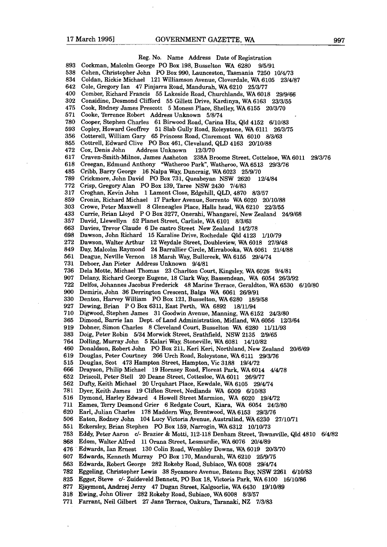Reg. No. Name Address Date of Registration 893 Cockman, Malcolm George PO Box 198, Busselton WA 6280 9/5/91 538 Cohen, Christopher John PO Box 990, Launceston, Tasmania 7250 10/4/73 Coldan, Rickie Michael 121 Williamson Avenue, Cloverdale, WA 6105 23/4/87 834 642 Cole, Gregory **Ian** 47 Pinjarra Road, Mandwah, WA 6210 25/3/77 Comber, Richard Francis 55 Lakeside Road, Churchlands, WA 6018 29/9/66 400 302 Considine, Desmond Clifford 55 Gillett Drive, Kardinya, WA 6163 23/3/55 475 Cook, Rodney James Prescott 5 Moness Place, Shelley, WA 6155 20/3/70 571 Cooke, Terrence Robert Address Unknown 5/8/74 780 Cooper, Stephen Charles 61 Birwood Road, Carina **Hk,** Qld 4152 6/10/83 593 Copley, Howard Geoffrey 51 Slab Gully Road, Roleystone, WA 6111 26/3/75 Cotterell, William **Gary** 65 Princess Road, Claremont WA 6010 8/3/63 356 Cottrell, Edward Clive PO Box 461, Cleveland, QLD 4163 20/10/88<br>Cox, Denis John Address Unknown 12/3/70 855 472 Address Unknown 12/3/70 617 Craven-Smith-Milnes, James Assheton 238A Broome Street, Cottelsoe, WA 6011 29/3/76 618 Creegan, Edmund Anthony Watheroo Park", Watheroo, WA 6513 29/3/76 485 Cribb, Barry George 16 Nalpa Way, Duncraig, WA 6023 25/9/70 789 Crickmore, John David PO Box 731, Queabeyan NSW 2620 12/4/84 772 Crisp, Gregory Alan PO Box 139, Taree NSW 2430 7/4/83 Croghan, Kevin John 1 Lamont Close, Edgehill, QLD, 4870 8/3/57 317 Cronin, Richard Michael 17 Parker Avenue, Sorrento WA 6020 20/10/88 859 303 Crowe, Peter Maxwell 8 Gleneagles Place, Halls head, WA 6210 22/3/55 Currie, Rrian Lloyd P 0 Box 3277, Onerahi, Whangarei, New Zealand 24/9/68 433 David, Llewellyn 52 Planet Street, Carlisle, WA 6101 8/3/63 357 Davies, Trevor Claude 6 De castro Street New Zealand 14/2/78 Dawson, John Richard 15 Karalise Drive, Rochedale Qld 4123 1/10/79 Dawson, Walter Arthur 12 Weydale Street, Doubleview, WA 6018 27/9/48 Day, Malcolm Raymond 24 Barrallier Circle, Mirrabooka, WA 6061 21/4/88 Deague, Neville Vernon 18 Marsh Way, Bullcreek, WA 6155 29/4/74 731 Deboer, Jan Pieter Address Unknown 9/4/81 736 Dela Motte, Michael Thomas 23 Charlton Court, Kingsley, WA 6026 9/4/81 907 Delany, Richard George Eugene, 18 Clark Way, Bassendean, WA 6054 26/3/92 722 Delfos, Johannes Jacobus Frederick 48 Marine Terrace, Geraldton, WA 6530 6/10/80 900 Demiris, John 36 Derrington Crescent, Balga WA 6061 26/9/91 330 Denton, Harvey William PO Box 121, Busselton, WA 6280 18/9/58 927 Dewing, Brian P 0 Box 6311, East Perth, WA 6892 18/11/94 Digwood, Stephen James 31 Goodwin Avenue, Manning, WA 6152 24/3/80 710 365 Dimond, Barrie Ian Dept. of Land Administration, Midland, WA 6056 12/3/64 Dobner, Simon Charles 8 Cleveland Court, Busselton WA 6280 11/11/93 919 Doig, Peter Robin 5/34 Morwick Street, Srathfield, NSW 2135 2/9/65 383 764 Dolling, Murray John 5 Kalari Way, Stoneville, WA 6081 14/10/82 Donaldson, Robert John PO Box 211, Keri Keri, Northland, New Zealand 20/6/69 460 619 Douglas, Peter Courtney 266 Urch Road, Roleystone, WA 6111 29/3/76 515 Douglas, Scot 473 Hampton Street, Hampton, Vic 3188 19/4/72 666 Drayson, Philip Michael 19 Hornsey Road, Floreat Park, WA 6014 4/4/78 652 Driscoll, Peter Stell 20 Deane Street, Cottesloe, WA 6011 26/9/77 Dufty, Keith Michael 20 Urquhart Place, Kewdale, WA 6105 29/4/74 562 781 Dyer, Keith James 19 Clifton Street, Nedlands WA 6009 6/10/83 Dymond, Harley Edward 4 Howell Street Marmion, WA 6020 19/4/72 516 Eames, Terry Desmond Grier 6 Redgate Court, Kiara, WA 6054 24/3/80 711 620 Earl, Julian Charles 178 Maddern Way, Brentwood, WA 6153 29/3/76 Eaton, Rodney John 104 Lucy Victoria Avenue, Australind, WA 6230 27/10/71 506 551 Eckersley, Brian Stephen PO Box 159, Narrogin, WA 6312 10/10/73 753 Eddy, Peter Aaron **c/-** Brazier & Motti, 112-118 Denham Street, Townsville, **Qld** 4810 6/4/82 Edom, Walter Alfred 11 Orana Street, Lesmurdie, WA 6076 20/4/89 868 476 Edwards, Ian Ernest 130 Colin Road, Wembley Dowas, WA 6019 20/3/70 607 Edwards, Kenneth Murray PO Box 170, Mandurah, WA 6210 25/9/75 563 Edwards, Robert George 282 Rokeby Road, Subiaco, WA 6008 29/4/74 Eggeling, Christopher **Lewis** 38 Sycamore Avenue, Bateau Bay, **NSW** 2261 6/10/83 782 **Egger,** Steve **d-** Zuideveld Bennett, PO Box 18, Victoria Park, WA 6100 16/10/86 825 877 Ejsymont, Andrzej Jeny 47 **Dugan** Street, Kalgoorlie, WA 6430 19/10/89 Ewing, John Oliver 282 Rokeby Road, Subiaco, WA 6008 8/3/57 318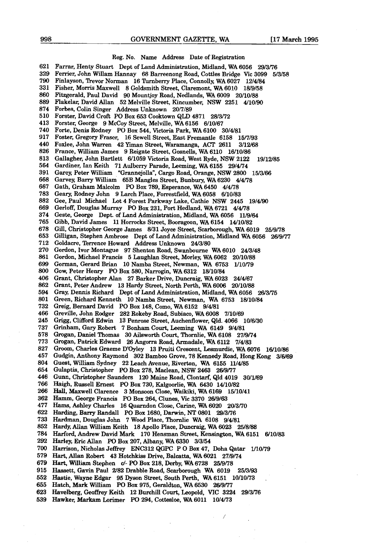**998 GOVERNMENT** -\* **GAZETTE, WA [l7 March 1995** 

#### Reg. No. Name Address Date of Registration

621 Farrar, Henty Stuart Dept of Land Administration, Midland, WA **6056 29/3/76**  329 Ferrier, John Willam Hannay 68 Barreenong Road, Cottles Bridge Vic **3099 5/3/58**  790 Finlayson, Bevor Norman **16** Turnberry Place, Connolly, WA **6027 12/4/84**  Fisher, Morris Maxwell **8** Goldsmith Street, Claremont, WA **6010 18/9/58**  331 860 Fitzgerald, Paul David **90** Mountjoy Road, Nedlands, WA **6009 20/10/88**  889 Flakelar, David Allan 52 Melville Street, Kincumber, NSW 2251 4/10/90 874 Forbes, Colin Singer Address Unknown 20/7/89 510 Forster, David Croft PO Box **653** Cooktown QLD **4871 28/3/72**  413 Forster, George **9** McCoy Street, Melville, WA **6156 6/10/67**  740 **Forte,** Denis Rodney PO Box 544, Victoria Park, WA **6100 30/4/81**  917 Foster, Gregory Fraser, **16** Sewell Street, East Fremantle **6158 15/7/93**  440 Foxlee, John Warren **42 Yiman** Street, Waramanga, ACT **2611** 3/12/68 826 France, William James **9** Reigate Street, Gosnells, WA **6110 16/10/86**  813 Gallagheq John Bartlett **611059** Victoria Road, West Ryde, NSW **2122 19/12/85**  564 Gardiner, Ian Keith **71** Aulberry Parade, Leeming, WA **6155 29/4/74**  391 Garey, Peter William "Grannejolla", Cargo Road, Orange, NSW **2800 15/3/66**  668 Gamey, **Barry** William **65B** Mangles Street, Bunbury, WA **6230 4/4/78**  667 Gath, Graham Malcolm PO Box **789,** Esperance, WA **6450 4/4/78**  783 Geary, Rodney John **9** Larch Place, Forrestfield, WA **6058 6/10/83**  882 Gee, Paul Michael Lot **4** Forest Parkway Lake, Cathie NSW **2445 19/4/90**  669 Gerloff, Douglas Murray PO Box 231, Port Hedland, WA 6721 4/4/78 374 Geste, George Dept. of Land Administration, Midland, WA **6056 11/9/64**  765 Gibb, David James 11 Horrocks Street, Booragoon, WA 6154 14/10/82 678 Gill, Christopher George James 8/31 Joyce Street, Scarborough, WA 6019 25/9/78 653 Gilligan, Stephen Ambrose Dept of Land Administration, Midland WA 6056 26/9/77 Goldacre, Terrence Howard Address Unknown **24/3/80**  712 270 Gordon, Ivor Montague **97** Shenton Road, Swanbourne WA **6010 24/3/48**  861 Gordon, Michael Francis **5** Laughlan Street, Morley, WA **6062 20/10/88**  699 Gorman, Gerard Brian 10 Namba Street, Newman, WA 6753 1/10/79 800 **Gow,** Peter Henry PO Box **580,** Narrogin, WA **6312 18/10/84**  406 Grant, Christopher Alan **27** Barker Drive, Duncraig, WA **6023 24/4/67**  862 Grant, Peter Andrew **13** Hardy Street, North Perth, WA **6006 20/10/88**  594 Gray, Dennis Richard Dept of Land Administration, Midland, WA **6056 26/3/75**  801 Green, Richard Kenneth **10** Namba Street, Newman, WA **6753 18/10/84**  732 Greig, Bemard David PO Box **148,** Como, WA **6152 9/4/81**  466 Greville, John Rodger **282** Rokeby Road, Subiaco, WA **6008 7/10/69**  Grigg, Clifford Edwin **13** Penrose Street, Auchenflower, Qld. **4066 10/6/30**  245 737 Grinham, **Gary** Robert **7** Bonham Court, Leeming WA **6149 9/4/81 Grogan,** Daniel Thomas **30** Ailsworth Court, Thornlie, WA **6108 27/9/74**  578 Grogan, Patrick Edward **26** Angorra Road, Armadale, WA **6112 7/8/83**  773 Groom, Charles Graeme D'Oyley **13 Pruiti** Crescent, Lesmurdie, WA **6076 16/10/86**  827 457 Gudgin, Anthony Raymond 302 Bamboo Grove, 78 Kennedy Road, Hong Kong 3/6/69 804 Guest, William Sydney **22** Leach Avenue, Riverton, WA **6155 11/4/85**  654 Gulaptis, Christopher PO Box **278,** Maclean, NSW **2463 26/9fi'7**  446 Gum, Christopher Saunders **120** Maine Road, Clontarf, Qld **4019 30/1/69**  Funn, Christopher Saunders 120 Maine Road, Clontarf, Qld 4019<br>Haigh, Russell Ernest PO Box 730, Kalgoorlie, WA 6430 14/10/8<br>Hall, Maxwell Clarence 3 Monsoon Close, Waikiki, WA 6169 15/<br>Hamm, George Francis PO Box 264, Clun 766 Haigh, Russell Emest PO Box **730,** Kalgoorlie, WA **6430 14/10/82**  266 Hall, Maxwell Clarence **3** Monsoon Close, Waikiki, WA **6169 15/10141**  362 477 Hams, Ashley Charles **16** Quamdon Close, Carine, WA **6020 20/3/70**  622 **Hadug,** Bamy Randall PO Box **1680, Darwin, NT 0801 29/3/76**  733 Hardman, Douglas John **7** Wood Place, Thornlie WA **6108 9/4/81**  852 **Hardy, Allan** William Keith **18** Apollo Place, Duncraig, WA **6023 25/8/88**  784 Word., **Andrew** David Mark **170** Hensman Street, Kensington, **WA.6151 6/L0/83**  292 Harley, Eric **Allan** PO Box **207, Albany,** WA **6330 3/3/54**  700 -on, Nicholas Jeffrey ENC312 QGPC P **0** Box **447,** Doha **Qatar V10/79**  579 **Hart,** Nlan Robert **43** Hotcbkiss Drive, Balcatta, WA **6021 27/9/74**  679 **Hart, William** Stephen **c/- PO** Box **218,** Derby, W. **6728 25/9/78**  915 Hassett, **Gavin** Paul **2/82** Drabble Road, Scatborough WA **6019 25/3/93**  552 Hastie, Wayne **Edgar 95 Dyson** Street, **South** Perth, WA **6151 10/10/73** , Hatch, Mark William PO Box 975, Geraldton, WA 6530 26/9/77 655 623 Havelberg, CeofFrey Keith **12** Burchill Court, Leopold, VIC **3224 29/3/76**  539 Hawker, **Markam** Lorimer P0 294, Cotteslae, WA **6011 10/4/73**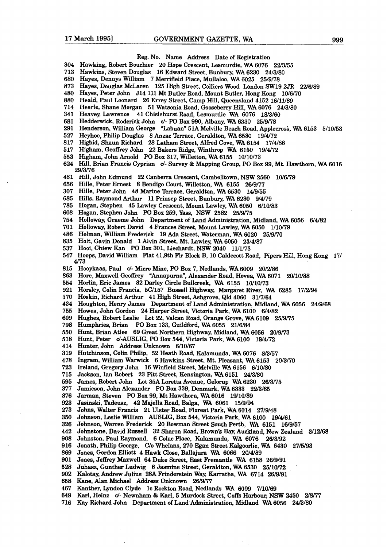**Reg.** No. Name Address Date of Registration

- 304 Hawking, Robert Bouchier 20 Hope Crescent, Lesmurdie, WA 6076 22/3/55
- 713 Hawkins, Steven Douglas 16 Edward Street, Bunbury, WA 6230 24/3/80
- 680 Hayes, Dennys William 7 Merrifield Place, Mullaloo, WA 6025 25/9/78<br>873 Hayes, Douglas McLaren 125 High Street, Colliers Wood London SW19
- 873 Hayes, Douglas McLaren 125 High Street, Colliers Wood London SW19 *2JR* 22'6189
- 480 Hayes, Peter John 514 111 Mt Butler Road, Mount Butler, Hong Kong 10/6/70
- 880 Heald, Paul Leonard 26 Errey Street, Camp Hill, Queensland 4152 16/11/89
- 714 Hearle, Shane Morgan 51 Watsonia Road, Gooseberry **Ell,** WA 6076 24/3/80
- 341 Heavey, Lawrence 41 Chislehvst Road, Leernutdie WA 6076 18/3/60
- 681 Hedderwick, Roderick John **c/-** PO Box 990, Albany, WA 6330 25/9/78
- 291 Henderson, William George "Labuan" 51A Melville Beach Road, Applecross, WA 6153 5/10/53<br>527 Heyhoe, Philip Douglas 8 Anzac Terrace, Geraldton, WA 6530 19/4/72
- 527 Heyhoe, Philip Douglas 8 Anzac Terrace, Geraldton, WA 6530 19/4/72
- 817 Higbid, Shaun Richard 28 Latham Street, Alfred Cove, WA 6154 17/4/86
- 517 Higham, Geoffrey John 22 Bakers Ridge, Winthrop WA 6150 19/4/72
- 553 Higham, John Arnold PO Box 317, Willetton, WA 6155 10/10/73
- 624 Hill, Brian Francis Cyprian **cl-** Survey & Mapping Group, PO Box 99, Mt. Hawthorn, WA 6016 29/3/76
- 481 Hill, John Edmund 22 Canberra Crescent, Cambelltown, NSW 2560 10/6/79
- 656 Hille, Peter Ernest 8 Bendigo Court, Willetton, WA 6155 26/9/77
- 307 Hille, Peter John 48 Marine Terrace, Geraldton, WA 6530 14/9/55
- 685 Hills, Raymond Arthur 11 Prinsep Street, Bunbury, WA 6230 9/4/79
- 785 Hogan, Stephen 45 Lawley Crescent, Mount Lawley, WA 6050 6/10/83
- 
- 608 Hogan, Stephen John PO Box 259, **Yass,** NSW 2582 25/9/75 754 Holloway, Graeme John Department of Land Administration, Midland, WA 6056 6/4/82
- 

701 Holloway, Robert David 4 Frances Street, Mount Lawley, WA 6050 1/10/79<br>486 Holman, William Frederick 19 Ada Street, Waterman, WA 6020 25/9/70

- 486 Holman, William Frederick 19 Ada Street, Waterman, WA 6020 25/9/70
- 835 Holt, Gavin Donald 1 Alvin Street, Mt. Lawley, WA 6050 23/4/87<br>537 Hooi, Chiew Kan PO Box 301, Liechardt, NSW 2040 11/1/73 537 Hooi, Chiew **Kan** PO Box 301, Liechardt, NSW 2040 IVY73
- 547 Hoops, David William Flat 41,9th Flr Block B, 10 Caldecott Road, Pipers Hill, Hong Kong 17/ 4/73
- 815 Hooykaas, Paul **c/-** Micro Mine, PO Box 7, Nedlands, WA 6009 20/2/86
- 863 Hore, Maxwell **Geoffrey** "Annapuma", Alexander Road, Hovea, WA 6071 20/10/88
- Horlin, Eric James 82 Darley Circle Bullcreek, WA 6155 10/10/73 554
- 921 Horsley, Colin Francis, 5Cl157 Bussell Highway, Margaret River, WA 6285 17/2/94
- 370 Hoskin, Richard **Arthur** 41 High Street, Ashgrove, Qld 4060 31/7/64
- 434 Houghton, Henry James Department of Land Administration, Midland, WA 6056 24/9/68
- 755 Howes, John Gordon 24 Harper Street, Victoria Park, WA 6100 6/4/82
- 609 Hughes, Robert Leslie Lot 22, Valcan Road, Orange Grove, WA 6109 25/9/75
- 798 Humphries, Brian PO Box 133, Guildford, WA 6055 21/6/84
- 550 Hunt, Brian Atlee 69 Great Northern Highway, Midland, WA 6056 20/9/73
- 518 Hunt, Peter c/-AUSLIG, PO Box 544, Victoria Park, WA 6100 19/4/72
- 414
- Hunter, John Address Unknown 6/10/67
- 319 Hutchinson, Colin Philip, 52 Heath Road, Kalamunda, WA 6076 8/3/57
- Ingram, William Warwick 6 Hawkins Street, Mt. Pleasant, WA 6153 20/3/70 478
- Ireland, Gregory John 16 Winfield Street, Melville WA 6156 6/10/80 723
- 715 Jackson, **Ian** Robert 23 Pitt Street, Kensington, WA6151 24/3/80
- 595 James, Robert John Lot 35A Loretta Avenue, Gelomp WA 6230 26/3/75

377 Jamieson, John Alexander PO Box 339, Denmark, WA 6333 22/3/65

- 876 Jarman, Steven PO Box 99, Mt Hawthorn, WA 6016 19/10/89
- 923 Jasinski, Tadeusz, 42 Majella Road, Balga, WA 6061 15/9/94
- 273 Johns, Walter Francis 21 Ulster Road, Floreat Park, WA 6014 27/9/48

Johnson, Leslie William AUSLIG, Box 544, Victoria Park, WA 6100 19/4/61 350

326 Johnson, Warren Frederick 20 Bowman Street South Perth, WA 6151 16/9/57

442 Johnstone, David Russell 32 Sharon Road, Brown's Bay, Auckland, New Zealand 3/12/68

- Johnston, Paul Raymond, 6 Colac Place, Kalamunda, WA 6076 26/3/92 908
- 916 Jonath, Philip George, C/o Whelans, 270 Egan Street Kalgoorlie, WA 6430 27/5/93
- Jones, Gordon Elliott **4** Hawk Close, Ballajura WA 6066 20/4/89 869
- 901 Jones, Jefhy Maxwell 64 Duke Street, East Fremantle WA 6158 26/9/91
- 528 Juhasz, Gunther Ludwig 6 Jasmine Street, Geraldton, WA 6530 25/10/72
- 902 Kalotay, Andrew Julius 28A Frinderstein Way, Karratha, WA 6714 26/9/91
- 658 Kane, **Alan** Michael Addteas Unknown 26/9/77
- 467 Kanther, Lyndon Clyde 1c Rockton Road, Nedlands WA 6009 7/10/69
- 649 Karl, Heinz **cl-** Newnham & Karl, 5 Mwdock Street, Coffs **Harbour, NSW** 2450
- **Kay Richaxd** John Department of land Administration, Midland WA 6056 24/3/80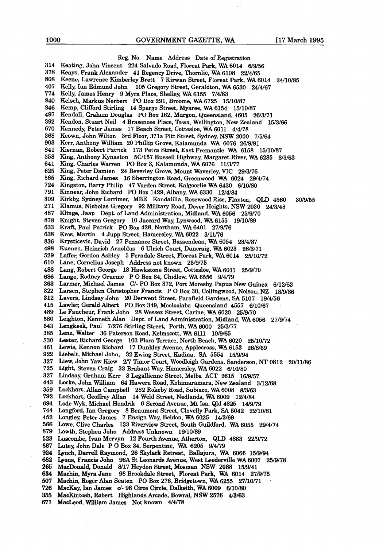**1000 GOVERNMENT GAZETTE, WA [l7 March 1995** 

Reg. No. Name Address Date of Registration 314 Keating, John Vincent 224 Salvado Road, Floreat Park, WA 6014 6/9/56 378 Keays, Frank Alexander 41 Regency Drive, Thornlie, WA 6108 22/4/65 808 Keene, Lawrence Kimberley Brett 7 **Kirwan** Street, Floreat Park, WA 6014 24/10/85 Kelly, Ian Edmund John 105 Gregory Street, Geraldton, WA 6530 24/4/67 407 Kelly, James Henry 9 Myra Place, Shelley, WA 6155 7/4/83 774 Kelsch, Markus Norbert PO Box 291, Broome, WA 6725 15/10/87 846 Kemp, Clifford Stirling 14 Spargo Street, Myaree, WA 6154 15/10/87 497 Kendall, Graham Douglas PO Box 162, Murgon, Queensland, 4605 26/3/71 392 Kendon, Stuart Neil 4 Brasenose Place, Tawa, Wellington, New Zealand 15/3/66 670 Kennedy, Peter James 17 Beach Street, Cottesloe, WA 6011 4/4/78 368 Keown, John Wilton 3rd Floor, 371a Pitt Street, Sydney, NSW 2000 7/5/64 **Kerr,** Anthony William 20 Phillip Grove, Kalamunda WA 6076 26/9/91 903 841 Kiernan, Robert Patrick 173 Petra Street, East Fremantle WA 6158 15/10/87 358 King, Anthony Kynaston 5CI157 Bussell Highway, Margaret River, WA 6285 8/3/63 641 **King,** Charles Warren PO Box 3, Kalmunda, WA 6076 11/3/77 625 King, Peter Damien 24 Beverley Grove, Mount Waverley, VIC 29/3/76 565 King, Richard James 16 Sherrington Road, Greenwood WA 6024 29/4/74 Kingston, **Bany** Philip 47 Varden Street, Kalgoorlie WA 6430 6/10/80 Kinnear, John Richard PO Box 1429, Albany, WA 6330 12/4/&4 Kirkby, Sydney Lorrimer, MBE Kondalilla, Rosewood Rise, Flaxton, **QLD** 4560 30/9/55 **Klamus,** Nicholas Gregory 92 Military Road, Dover Heights, NSW 2030 24/3/48 Klinge, Jaap Dept. of Land Administration, Midland, WA 6056 25/9/70 Knight, Steven Gregory 10 Jaccard Way, Lynwood, WA 6155 19/10/89 **Krafb,** Paul Patrick PO Box 428, Northam, WA 6401 27/9/76 Kros, Martin 4 Jupp Street, Hamersley, WA 6022 3/11/76 836 Krysticevic, David 27 Penzance Street, Bassendean, WA 6054 23/4/87 498 Kuenen, Heinrich Arnoldus 6 Ulrich Court, Duncraig, WA 6023 26/3/71 529 Laffer, Gordon Ashley 5 Ferndale Street, Floreat Park, WA 6014 25/10/72 610 Lane, Cornelius Joseph Address not known 25/9/75 488 Lang, Robert George 18 Hawkstone Street, Cottesloe, WA 6011 25/9/70 686 Lange, Rodney Graeme P **0** Box 84, Chidlow, WA 6556 9/4/79 363 Larmer, Michael James C/- PO Box 372, Port Moresby, Papua New Guinea 6/12/63 822 Larsen, Stephen Christopher Francis P **0** Box 30, Collingwood, Nelson, NZ 18/9/86 Lavers, Lindsay John 20 Derwent Street, Parafield Gardens, SA 5107 19/4/56 312 Lawler, Gerald Albert PO Box 349, Mooloolaba Queensland 4557 6/10/67 415 489 Le Faucheur, Frank John 28 Wessex Street, Carine, WA 6020 25/9/70 580 Leighton, Kenneth Alan Dept. of Land Administration, Midland, WA 6056 27/9/74 643 Lengkeek, Paul 71276 Stirling Street, Perth, WA 6000 25/3/77 385 Lenz, Walter 36 Paterson Road, Kelmscott, WA 6111 10/9/65 530 Lester, Richard George 103 Flora Terrace, North Beach, WA 6020 25/10/72 461 Lewis, Kennon Richard 17 Dunkley Avenue, Applecross, WA 6153 26/6/69 922 Liebelt, Michael John, 32 Ewing Street, Kadina, SA 5554 15/9/94 Liew, John Yaw Kiew 2/7 Timor Court, Woodleigh Gardens, Sanderson, NT 0812 20/11/86 327 725 Light, Steven Craig 33 Brabant Way, Hamersley, WA 6022 6/10/80 327 Lindsay, Graham Kerr 8 Legallienne Street, Melba ACT 2615 16/9/57 443 Locke, John William 64 Hawera Road, Kohimaramara, New Zealand 3/12/68 359 **Lockhart,** Allan Campbell 282 Rokeby Road, Subiaco, WA 6008 8/3/63 792 Lockhart, Geoffrey Allan 14 Weld Street, Nedlands, WA 6009 12/4/84 694 **Lode** Wyk, Michael Hendrik 6 Second Avenue, Mt Isa, Qld 4825 14/9/79 Longford, Ian Gregory 8 Beaumont Street, Clovelly Park, SA 5042 22/10/81 744 452 Longley, Peter James 7 Ensign Way, Beldon, WA 6025 14/3/69 566 Lowe, Clive Charles 133 Riverview Street, South Guildford, WA 6055 29/4/74 879 **Lowth,** Stephen John Address Unknown 19/10/89 523 Luscombe, Ivan Mervyn 12 Fourth Avenue, Atherton, QLD 4883 22/9/72 **Lutey,** John Dale P 0 Box 34, Serpentine, WA 6205 9/4/79 687 924 Lynch, Darrell Raymond, 26 Skylark Retreat, Ballajura, WA 6066 15/9/94<br>Lyons, Francis John 98A St Leonards Avenue, West Leederville WA 6007 25/9/78 Lyons, Francis John 98A St Leonards Avenue, West Leederville WA 6007 682 265 MacDonald, Donald 8/17 Heydon Street, Mosman NSW 2088 15/9/41 **Machin, Myra Jane** 98 Brookdale Street, Floreat Park, WA 6014 27/9/75<br>Machin, Roger Alan Seaton PO Box 276, Bridgetown, WA 6255 27/10/71 <sup>507</sup>**Machin,** Roger **Alan** Seaton PO **Box** 276, **Bridgetown,** WA 6255 27/10/71 . 726 MacKay, Ian **James cl-** 98 Circe Circle, **Dalkeith,** WA 6009 6/10/80 355 **MacKintwh, Robert** Highlands Arcade, **Bowral,** NSW 2576 4/3/63 671 Machod, **Waiam** James Not known 4/4/78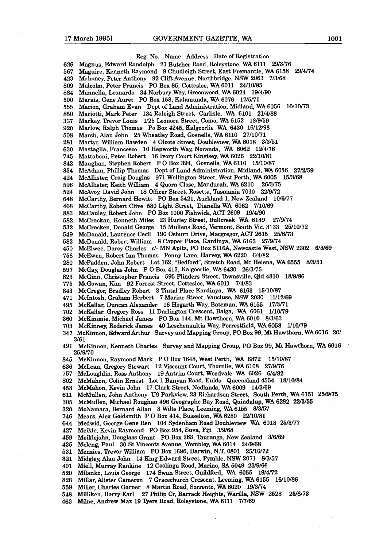Reg. No. Name Address Date of Registration Magnus, Edward Randolph **21** Butcher Road, Roleystone, WA **6111 29/3/76**  Maguire, Kenneth Raymond 9 Chudleigh Street, East Fremantle, WA 6158<br>423 Mahoney, Peter Anthony 92 Clift Avenue, Northbridge, NSW 2063 7/3/68 Mahoney, Peter Anthony **92** Clift Avenue, Northbridge, NSW **2063 7/3/68**  Malcolm, Peter Francis PO Box **85,** Cottesloe, WA **6011 24/10/85**  884 Mannella, Leonardo **34** Norbury Way, Greenwood, WA **6024 19/4/90**  Marais, Gene Auret PO Box **158,** Kalamunda, WA **6076 12/5/71**  Marion, Graham Evan Dept of Land Administration, Midland, WA **6056 10/10/73**  Mariotti, Mark Peter **134** Raleigh Street, Carlisle, WA **6101 21/4/88**  Markey, Trevor Louis **U25** Leonora Street, Como, WA **6152 18/9/59**  920 Marlow, Ralph Thomas Po Box 4245, Kalgoorlie WA 6430 16/12/93 Marsh, **Alan** John **25** Wheatley Road, Gosnells, WA **6110 27/10/71**  Martyr, William Bawden **4** Olcote Street, Doubleview, WA **6018 3/3/51**  Mastaglia, Francesco **10** Hepworth Way, Noranda, WA **6062 12/4/76**  Mattaboni, Peter Robert **16** Ivory Court Kinglsey, WA **6026 22/10/81**  Maughan, Stephen Robert P 0 Box **394,** Gosnells, WA **6110 15/10/87**  McAdam, Phillip Thornas Dept of Land Administration, Midland, WA **6056 27/2/59**  McAllister, Craig Douglas **971** Wellington Street, West Perth, WA **6005 15/3/68**  McAllister, Keith William **4** Quorn Close, Mandurah, WA **6210 26/3/75**  McAvoy, David John **18** Oficer Street, Rosetta, Tasmania **7010 22/9/72**  McCarthy, Bernard Hewitt PO Box **5421,** Auckland **1,** New Zealand **f O/6/77**  468 McCarthy, Robert Clive **580** Light Street, Dianella WA **6062 7/10169**  McCauley, Robert John PO Box **1000** Fishwick, ACT **2609 19/4/90**  582 McCrackan, Kenneth Miles 23 Hurley Street, Bullcreek WA 6149 McCracken, Donald George **15** Mullens Road, Vermont, South Vic. **3133 25/10/72**  McDonald, Laurence Cecil **190** Osburn Drive, Macgregor, ACT **2615 25/6/73**  McDonald, Robert William **8** Capper Place, Kardinya, WA **6163 27/9/74**  McElwee, Darcy Charles **cl- MN** Apitz, PO Box **5116A,** Newcastle West, **NSW 2302** 6/3/69 McEwen, Robert Ian Thomas Penny Lane, Harvey, WA **6220 6/4/82**  McFadden, John Robert Lot **162,** "Bedford", Stretch Road, Mt Helena, WA **6555 8/3/51**  McGay, Douglas John P 0 Box **413,** Kalgoorlie, WA **6430 26/3/75**  McGinn, Christopher Francis **595** Flinders Street, 'Ibwnsville, Qld **4810 18/9/86**  McGowan, Kim **92** Forrest Street, Cottesloe, WA **6011 7/4/83**  McGregor, Bradley Robert **3** Tintal Place Kardinya, WA **6163 15/10/87**  McIntosh, Graham Herbert **7** Marine Street, Vaucluse, NSW **2030 11/12/69**  McKellar, Duncan Alexander **16** Hogarth Way, Bateman, WA **6155 17/3/71**  McKellar. Gregory Ross **11** Darlington Crescent, Balga, WA **6061 U10179**  McKimmie, Michael James PO Box **144,** Mt Hawthorn, WA **6016 8/3/63**  McKinney, Roderick James **40** Leschenaultia Way, Forrestfield, WA **6058 1/10/79**  McKinnon, Edward Arthur Survey and Mapping Group, PO Box **99,** Mt Hawthorn, WA **6016 20/ 3/6 1**  McKinnon, Kenneth Charles Survey and Mapping Group, PO Box **99,** Mt Hawthorn, WA **6016 25/9/70**  ~c~innon, Raymond Mark P 0 Box **1648,** West Perth, WA **6872 15/10/87**  McLean, Gregory Stewart **12** Viscount Court, Thornlie, WA **6108 27/9/76**  757 McLoughlin, Ross Anthony 19 Antrim Court, Woodvale WA 6026 6/4/82 McMahon, Colin Ernest Lot **l** Banyan Road, Euldo Queensland 4554 **18/10/84**  McMahon, **Kevin** John **17** Clark Street, Nedlands, WA **6009 14/3/69**  McMullen, John Anthony **U9** Parkview, **23** Richardson Street, South Perth, WA **6151** 25/9/75 McMullen, Michael Roughan **496** Geographe Bay Road, Quindalup, WA **6282 22/3/55**  McNamara, Bernard Allan **3** Wilts Place, Leeming, WA **6155 8/3/57**  Mears, Alex Goldsmith P 0 Box **414,** Busselton, WA **6280 22/10/81**  644 Medwid, George Gene Ren **104** Sydenham Road Doubleview WA **6018 25/3/77**  Meikle, Kevin Raymond PO Box **954,** Suva, Fiji **3/9/68**  Meiklejohn, Douglass Grant PO Box **263,** Tauranga, New **Zealand 3/6/69**  Meleng, Paul **30** St Vincents Avenue, Wembley, WA **6014 24/9/68**  Menzies, Trevor William PO Box **1696, Darwin,** N.T. **0801 25/10/72**  Midgley, Alan John **14** King Edward Street, Pymble, NSW **2071 84/57**  Well, Murray Rankine **12** Coolinga Road, Marino, SA 5049 **23/9/66**  Wanko, Louis George **174** Swan Street, Guildford, WA 6055 **19/4/72**  828 Millar, Alister Cameron 7 Gracechurch Crescent, Leeming, WA 6155 Miller, Charles Garner **8** Martin Road, Somnto, WA **6020 19/3/74**  Milliken, Bq Earl **27** Philip Cr, **Barrack** Heighw, Warilla, NSW 2528 **25/6/73**  Milne, **Andrew Max 19** Qers Road, Roleystone, WA **6111 7/7/69**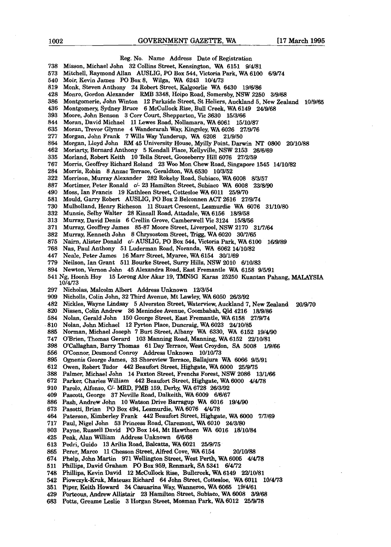**1002 GOVERNMENT GAZETTE, WA 117 March 1995** 

|            | Reg. No. Name Address Date of Registration                                                                                                   |
|------------|----------------------------------------------------------------------------------------------------------------------------------------------|
| 738        | Misson, Michael John 32 Collins Street, Kensington, WA 6151 9/4/81                                                                           |
| 573        | Mitchell, Raymond Allan AUSLIG, PO Box 544, Victoria Park, WA 6100 6/9/74                                                                    |
| 540        | Moir, Kevin James PO Box 8, Wilga, WA 6243 10/4/73                                                                                           |
| 819        | Monk, Steven Anthony 24 Robert Street, Kalgoorlie WA 6430 19/6/86                                                                            |
| 428        | Monro, Gordon Alexander RMB 3348, Hoipo Road, Somersby, NSW 2250 3/9/68                                                                      |
| 386        | Montgomerie, John Winton 12 Parkside Street, St Heliers, Auckland 5, New Zealand 10/9/65                                                     |
| 436        | Montgomery, Sydney Bruce 6 McCullock Rise, Bull Creek, WA 6149 24/9/68                                                                       |
| 393        | Moore, John Benson 3 Corr Court, Shepparton, Vic 3630 15/3/66                                                                                |
| 844        | Moran, David Michael 11 Lewes Road, Nollamara, WA 6061 15/10/87                                                                              |
| 635        | Moran, Trevor Glynne 4 Wanderarah Way, Kingsley, WA 6026 27/9/76                                                                             |
| 277        | Morgan, John Frank 7 Wills Way Yunderup, WA 6208<br>21/9/50                                                                                  |
| 864        | Morgan, Lloyd John RM 45 University House, Myilly Point, Darwin NT 0800 20/10/88                                                             |
| 462        | Moriarty, Bernard Anthony 5 Kendall Place, Kellyville, NSW 2153 26/6/69                                                                      |
| 335        | Morland, Robert Keith 10 Tella Street, Gooseberry Hill 6076 27/2/59                                                                          |
| 767        | Morris, Geoffrey Richard Roland 23 Woo Mon Chew Road, Singapore 1545 14/10/82                                                                |
| 284        | Morris, Robin 8 Anzac Terrace, Geraldton, WA 6530 10/3/52                                                                                    |
| 322        | Morrison, Murray Alexander 282 Rokeby Road, Subiaco, WA 6008 8/3/57                                                                          |
| 887        | Mortimer, Peter Ronald c/- 23 Hamilton Street, Subiaco WA 6008 23/8/90                                                                       |
| 490        | Moss, Ian Francis 19 Kathleen Street, Cottesloe WA 6011 25/9/70                                                                              |
| 581        | Mould, Garry Robert AUSLIG, PO Box 2 Belconnen ACT 2616 27/9/74                                                                              |
| 730        | Mulholland, Henry Richeson 11 Stuart Crescent, Lesmurdie WA 6076 31/10/80                                                                    |
| 332        | Munsie, Selby Walter 28 Kinsall Road, Attadale, WA 6156 18/9/58                                                                              |
| 313        | Murray, David Denis 6 Crellin Grove, Camberwell Vic 3124 15/8/56                                                                             |
| 371        | Murray, Geoffrey James 85-87 Moore Street, Liverpool, NSW 2170 31/7/64                                                                       |
| 382        | Murray, Kenneth John 8 Chrysostom Street, Trigg, WA 6020 30/7/65                                                                             |
| 875        | Nairn, Alister Donald c/- AUSLIG, PO Box 544, Victoria Park, WA 6100 16/9/89                                                                 |
| 768        | Nas, Paul Anthony 51 Luderman Road, Noranda, WA 6062 14/10/82                                                                                |
| 447        | Neale, Peter James 16 Marr Street, Myaree, WA 6154 30/1/69                                                                                   |
| 779        | Neilson, Ian Grant 511 Bourke Street, Surry Hills, NSW 2010 6/10/83                                                                          |
| 894.       | Newton, Vernon John 45 Alexandra Road, East Fremantle WA 6158 9/5/91                                                                         |
|            | 541 Ng, Hoonh Hoy 15 Lorong Alor Akar 19, TMN5G Karas 25250 Kuantan Pahang, MALAYSIA                                                         |
|            |                                                                                                                                              |
|            | 10/4/73                                                                                                                                      |
| 297        | Nicholas, Malcolm Albert Address Unknown 12/3/54                                                                                             |
| 909        | Nicholls, Colin John, 32 Third Avenue, Mt Lawley, WA 6050 26/3/92                                                                            |
| 482        | Nickles, Wayne Lindsay 5 Alverston Street, Waterview, Auckland 7, New Zealand<br>20/9/70                                                     |
| 820        | Nissen, Colin Andrew 36 Menindee Avenue, Coombabah, Qld 4216 18/9/86                                                                         |
| 584        | Nolan, Gerald John 150 George Street, East Fremantle, WA 6158 27/9/74                                                                        |
| 810        | Nolan, John Michael 12 Pyrton Place, Duncraig, WA 6023 24/10/85                                                                              |
| 885        | Norman, Michael Joseph 7 Burt Street, Albany WA 6330, WA 6152 19/4/90                                                                        |
| 747        | O'Brien, Thomas Gerard 103 Manning Road, Manning, WA 6152 22/10/81                                                                           |
| 398<br>556 | O'Callaghan, Barry Thomas 61 Day Terrace, West Croydon, SA 5008<br>1/9/66<br>O'Connor, Desmond Conroy Address Unknown 10/10/73               |
| 895        | Ognenis George James, 33 Shoreview Terrace, Ballajura WA 6066 9/5/91                                                                         |
| 612        | Owen, Robert Tudor 442 Beaufort Street, Highgate, WA 6000 25/9/75                                                                            |
| 388        | Palmer, Michael John 14 Paxton Street, Frenchs Forest, NSW 2086 13/1/66                                                                      |
| 672        | Parker, Charles William 442 Beaufort Street, Highgate, WA 6000 4/4/78                                                                        |
| 910        | Parolo, Alfonso, C/- MRD, PMB 159, Derby, WA 6728 26/3/92                                                                                    |
| 409        | Pascott, George 37 Neville Road, Dalkeith, WA 6009 6/6/67                                                                                    |
| 886        | Pash, Andrew John 10 Watson Drive Barragup WA 6016 19/4/90                                                                                   |
| 673        | Pasotti, Brian PO Box 494, Lesmurdie, WA 6076 4/4/78                                                                                         |
| 464        | Paterson, Kimberley Frank 442 Beaufort Street, Highgate, WA 6000 7/7/69                                                                      |
| 717        | Paul, Nigel John 53 Princess Road, Claremont, WA 6010 24/3/80                                                                                |
| 803        | Payne, Russell David PO Box 144, Mt Hawthorn WA 6016 18/10/84                                                                                |
| 425        | Peak, Alan William Address Unknown 6/6/68                                                                                                    |
| 613        | Pedri, Guido 13 Arilia Road, Balcatta, WA 6021 25/9/75                                                                                       |
| 865        | Perer, Marco 11 Chesson Street, Alfred Cove, WA 6154<br>20/10/88                                                                             |
| 674        | Phelp, John Martin 971 Wellington Street, West Perth, WA 6005 4/4/78                                                                         |
| 511        | Phillips, David Graham PO Box 959, Renmark, SA 5341 6/4/72                                                                                   |
| 748        | Phillips, Kevin David 12 McCullock Rise, Bullcreek, WA 6149 22/10/81                                                                         |
| 542        | Piowczyk-Kruk, Mateusz Richard 64 John Street, Cottesloe, WA 6011 10/4/73                                                                    |
| 351        | Piper, Keith Howard 34 Casuarina Way, Wanneroo, WA 6065 19/4/61                                                                              |
| 429<br>683 | Porteous, Andrew Allistair 23 Hamilton Street, Subiaco, WA 6008 3/9/68<br>Potts, Greame Leslie 3 Horgan Street, Mosman Park, WA 6012 25/9/78 |

l,

 $\bar{z}$ 

 $\ddot{\phantom{a}}$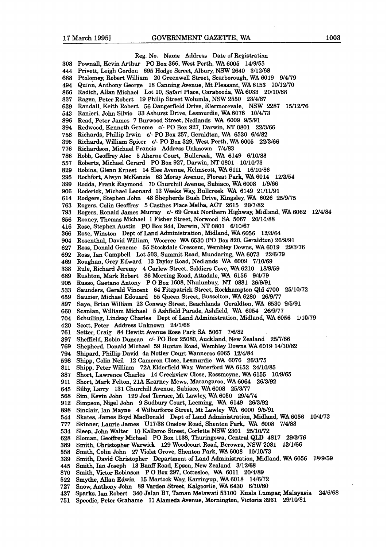Reg. No. Name Address Date of Registration Pownall, Kevin Arthur PO Box **366,** West Perth, WA **6005 149155**  308 Privett, Leigh Gordon **695** Hodge Street, Albury, NSW **2640 3/12/68**  444 Ptolo.mey, Robert William **20** Greenwell Street, Scarborough, WA **6019 9/4/79**  688 494 Quinn, Anthony George **18** Canning Avenue, Mt Pleasant, WA **6153 10112/70**  866 Radich, Allan Michael Lot **10,** Safari Place, Carabooda, WA **6033 20/10/88**  Ragen, Peter Robert **19** Philip Street Wolumla, NSW **2550 23/4/87**  837 Randall, Keith Robert **56** Dangerfield Drive, Elermorevale, NSW **2287 15/12/76**  639 Ranieri, John Silvio 33 Ashurst Drive, Lesmurdie, WA 6076 10/4/73 543 896 Read, Peter James **7** Burwood Street, Nedlands WA **6009 9/5/91**  Redwood, Kenneth Graeme **c/-** PO Box **927,** Darwin, **NT 0801 22/3/66**  394 Richards, Phillip Irwin **d-** PO Box **257,** Geraldton, WA **6530 61482**  758 395 Richards, William Spicer c/- PO Box **329,** West Perth, WA **6005 22/3/66**  776 Richardson, Michael Francis Address Unknown **7/4/83**  Robb, Geoffrey Alec 5 Aherne Court, Bullcreek, WA 6149 6/10/83 786 Roberts, Michael Gerard PO Box **927,** Darwin, **NT 0801 10/10/73**  557 Robins, Glenn Ernest **14** Slee Avenue, Kelmscott, WA **6111 16/10/86**  829 Rochfort, Alwyn McKenzie **63** Moray Avenue, Floreat Park, WA **6014 12/3/54**  295 399 Rodda, Frank Raymond **70** Churchill Avenue, Subiaco, WA **6008 1/9/66**  906 Roderick, Michael Leonard **13** Weeks Way, Bullcreek WA **6149 21/1Y91**  614 Rodgers, Stephen John **48** Shepherds Bush Drive, Kingsley, WA **6026 25/9/75**  Rogers, Colin Geoffrey **5** Casthes Place Melba, ACT **2615 20/7/82**  763 793 Rogers, Ronald James Murray c/- **69** Great Northern Highway, Midland, WA **6062**  Rooney, Thomas Michael **1** Fisher Street, Norwood SA **5067 20/10/88**  856 Rose, Stephen Austin PO Box **944,** Darwin, **NT 0801 6110167**  416 Rose, Winston Dept of Land Administration, Midland, WA **6056 12/3/64**  366 Rosenthal, David William, Woorree WA **6530** (PO Box **820,** Geraldton) **26/9/91**  904 **Ross,** Donald Graeme **55** Stockdale Crescent, Wembley Downs, WA **6019 29/3/76**  627 692 Ross, Ian Campbell Lot **503,** Summit Road, Mundaring, WA **6073 22/6/79**  Roughan, Grey Edward **13** Taylor Road, Nedlands WA **6009 7/10/69**  469 Rule, Richard Jeremy **4** Curlew Street, Soldiers Cove, WA **6210 18/9/59**  338 689 Rushton, Mark Robert **86** Moreing Road, Attadale, WA **6156 9/4/79**  Russo, Gaetano Antony P 0 Box **1608,** Nhulunbuy, **NT 0881 26/9/91**  905 Saunders, Gerald Vincent **64** Fitzpatrick Street, Rockhampton Qld **4700 25/10/72**  533 659 Sauzier, Michael Edouard **55** Queen Street, Busselton, WA **6280 26/9/77**  897 Saye, Brian William **23** Conway Street, Beachlands Geraldton, WA **6530 9/5/91**  660 ~ckan. William Michael **5** Ashfield Parade. Ashfield, WA **6054 26/9/77**  Schuiling, Lindsay Charles Dept of Land Administration, Midland, WA 6056 1/10/79 704 Scott, Peter Address Unknown **24/1/68**  420 Setter, Craig **84** Hewitt Avenue Rose Park SA **5067 7/6/82**  761 Sheffield, Robin Duncan  $c'$ - PO Box 25080, Auckland, New Zealand 25/7/66 397 Shepherd, Donald Michael **59** Buxton Road, Wembley Downs WA **6019 14/10/82**  769 Shipard, Phillip David 4a Notley Court Wanneroo **6065 12/4/84**  794 Shipp, Colin Neil **12** Cameron Close, Lesmurdie WA **6076 26/3/75**  598 Shipp, Peter William **72A** Elderfield Way, Waterford WA **6152 24/10/85**  811 Short, Lawrence Charles **14** Creekview Close, Rossmoyne, WA **6255 10/9/65**  387 Short, Mark Felton, **21A** Kearney Mews, Marangaroo, WA **6064 26/3/92**  911 Silby, **Larry 131** Churchill Avenue, Subiaco, WA **6008 25/3/77**  645 Sim, Kevin John **129** Joel Terrace, Mt Lawley, WA **6050 29/4/74**  568 912 Simpson, Nigel John **9** Sudbury Court, Leeming, WA **6149 26/3/92**  898 Sinclair, Ian Mayne 4 Wilburforce Street, Mt Lawley WA 6000 9/5/91 **Skates,** James Boyd MacDonald Dept of Land Administration, Midland, WA **6056 1014/73**  544 Skinner, Laurie James **U17138** Onslow Road, Shenton Park, WA **6008 7/4/83**  777 Sleep, John Walter **10 Kallaroo** Street, Corlette **NSW 2301 25/10/72**  534 Sloman, Geoffrey Michael PO Box **1138,** Thuringowa, Central QLD **4817 29/3/76**  628 Smith, Christopher Warwick **129** Woodcourt Road, Berowra, NSW **2081** 13/1/66 389 Smith, Colin John **27** Violet Grove, Sheaton Park, WA **6008 10/10/73**  558 Smith, David Christopher Department of Land Administration, Midland, WA **6056 18/9/59**  339 Smith, **Ian** Joseph **13** Banff Road, Epson, New Zealand **3/12/68**  445 Smith, Victor Robinson P 0 Box **297,** Cottesloe, WA **6011 20/4/89**  870 522 Smythe, Allan Edwin 15 **Martock** Way, Karrinyup, WA **6018 14/6/72**  Snow, Anthony John 89 Varden Street, Kalgoorlie, WA 6430 6/10/80 727 Sparks, Ian Robert 340 Jalan B7, Taman Melawati 53100 Kuala Lumpar, Malayasia 24/6/68 437 Speedie, Peter Grahame **11** Alameda Avenue, Mornington, Victoria **3931 29/L0/81** 751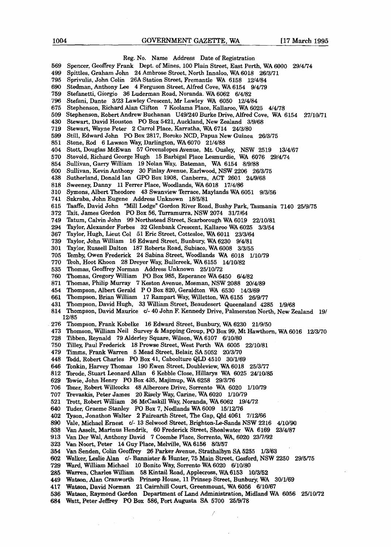**1004 GOVERNMENT GAZETTE, WA 117 March 1995** 

 $\mathcal{A}^{\mathcal{A}}$ 

 $\label{eq:2.1} \frac{1}{\sqrt{2\pi}}\int_{\mathbb{R}^3}\frac{1}{\sqrt{2\pi}}\int_{\mathbb{R}^3}\frac{1}{\sqrt{2\pi}}\int_{\mathbb{R}^3}\frac{1}{\sqrt{2\pi}}\int_{\mathbb{R}^3}\frac{1}{\sqrt{2\pi}}\int_{\mathbb{R}^3}\frac{1}{\sqrt{2\pi}}\frac{1}{\sqrt{2\pi}}\frac{1}{\sqrt{2\pi}}\frac{1}{\sqrt{2\pi}}\frac{1}{\sqrt{2\pi}}\frac{1}{\sqrt{2\pi}}\frac{1}{\sqrt{2\pi}}\frac{1}{\sqrt{2\pi}}$ 

 $\bar{\mathcal{A}}$ 

|            | Reg. No. Name Address Date of Registration                                                                                                                     |
|------------|----------------------------------------------------------------------------------------------------------------------------------------------------------------|
| 569.       | Spencer, Geoffrey Frank Dept. of Mines, 100 Plain Street, East Perth, WA 6000<br>29/4/74                                                                       |
| 499        | Spittles, Graham John 24 Ambrose Street, North Innaloo, WA 6018 26/3/71                                                                                        |
| 795        | Sprivulis, John Colin 26A Station Street, Fremantle WA 6158 12/4/84                                                                                            |
| 690        | Stedman, Anthony Lee 4 Ferguson Street, Alfred Cove, WA 6154 9/4/79                                                                                            |
| 759        | Stefanetti, Giorgio 36 Luderman Road, Noranda. WA 6062 6/4/82                                                                                                  |
| 796        | Stefani, Dante 3/23 Lawley Crescent, Mr Lawley WA 6050 12/4/84                                                                                                 |
| 675        | Stephenson, Richard Alan Clifton 7 Koolama Place, Kallaroo, WA 6025 4/4/78                                                                                     |
| 509<br>430 | Stephenson, Robert Andrew Buchanan U49/240 Burke Drive, Alfred Cove, WA 6154 27/10/71<br>Stewart, David Houston PO Box 5421, Auckland, New Zealand 3/9/68      |
| 719        | Stewart, Wayne Peter 2 Carrol Place, Karratha, WA 6714 24/3/80                                                                                                 |
| 599        | Still, Edward John PO Box 2817, Boroko NCD, Papua New Guinea 26/3/75                                                                                           |
| 851        | Stone, Rod 6 Lawson Way, Darlington, WA 6070 21/4/88                                                                                                           |
| 404        | Stott, Douglas McEwan 57 Greenslopes Avenue, Mt. Ousley, NSW 2519<br>13/4/67                                                                                   |
| 570        | Stovold, Richard George Hugh 15 Barbigal Place Lesmurdie, WA 6076 29/4/74                                                                                      |
| 854        | Sullivan, Garry William 19 Nolan Way, Bateman, WA 6154 8/9/88                                                                                                  |
| 600        | Sullivan, Kevin Anthony 30 Finlay Avenue, Earlwood, NSW 2206 26/3/75                                                                                           |
| 438        | Sutherland, Donald Ian GPO Box 1908, Canberra, ACT 2601 24/9/68                                                                                                |
| 818        | Sweeney, Danny 11 Ferrer Place, Woodlands, WA 6018 17/4/86                                                                                                     |
| 310        | Symons, Albert Theodore 43 Swanview Terrace, Maylands WA 6051 9/3/56                                                                                           |
| 741        | Szkraba, John Eugene Address Unknown 18/5/81                                                                                                                   |
| 615        | Taaffe, David John "Mill Lodge" Gordon River Road, Bushy Park, Tasmania 7140 25/9/75                                                                           |
| 372        | Tait, James Gordon PO Box 56, Turramurra, NSW 2074 31/7/64                                                                                                     |
| 749        | Tatum, Calvin John 99 Northstead Street, Scarborough WA 6019 22/10/81<br>Taylor, Alexander Forbes 32 Glenbank Crescent, Kallaroo WA 6025 3/3/54                |
| 294<br>367 | Taylor, Hugh, Lieut Col 51 Eric Street, Cottesloe, WA 6011 23/3/64                                                                                             |
| 739        | Taylor, John William 16 Edward Street, Bunbury, WA 6230 9/4/81                                                                                                 |
| 301        | Taylor, Russell Dalton 187 Roberts Road, Subiaco, WA 6008 3/3/55                                                                                               |
| 705        | Temby, Owen Frederick 24 Sabina Street, Woodlands WA 6018 1/10/79                                                                                              |
| 770        | Teoh, Hoot Khoon 28 Dreyer Way, Bullcreek, WA 6155 14/10/82                                                                                                    |
| 535        | Thomas, Geoffrey Norman Address Unknown 25/10/72                                                                                                               |
| 760        | Thomas, Gregory William PO Box 985, Esperance WA 6450 6/4/82                                                                                                   |
| 871        | Thomas, Philip Murray 7 Keston Avenue, Mosman, NSW 2088 20/4/89                                                                                                |
| 454        | Thompson, Albert Gerald P O Box 820, Geraldton WA 6530 14/3/69                                                                                                 |
| 661        | Thompson, Brian William 17 Rampart Way, Willetton, WA 6155 26/9/77                                                                                             |
| 431        | Thompson, David Hugh, 33 William Street, Beaudesert Queensland 4285 1/9/68                                                                                     |
| 814        | Thompson, David Maurice c/- 40 John F. Kennedy Drive, Palmerston North, New Zealand 19/<br>12/85                                                               |
|            | 276 Thompson, Frank Kobelke 16 Edward Street, Bunbury, WA 6230 21/9/50                                                                                         |
|            | 473 Thomson, William Neil Survey & Mapping Group, PO Box 99, Mt Hawthorn, WA 6016 12/3/70                                                                      |
| 728        | Tibben, Reynald 79 Alderley Square, Wilson, WA 6107 6/10/80                                                                                                    |
| 750        | Tilley, Paul Frederick 18 Prowse Street, West Perth WA 6005 22/10/81                                                                                           |
| 479        | Timms, Frank Warren 5 Mead Street, Belair, SA 5052 20/3/70                                                                                                     |
| 448        | Todd, Robert Charles PO Box 41, Caboolture QLD 4510 30/1/69                                                                                                    |
| 646        | Tonkin, Harvey Thomas 190 Ewen Street, Doubleview, WA 6018 25/3/77                                                                                             |
| 812        | Torode, Stuart Leonard Allan 6 Kebble Close, Hillarys WA 6025 24/10/85                                                                                         |
| 629        | Towie, John Henry PO Box 435, Majimup, WA 6258 29/3/76                                                                                                         |
| 706        | Tozer, Robert Willcocks 48 Albercore Drive, Sorrento WA 6020 1/10/79                                                                                           |
| 707        | Trevaskis, Peter James 20 Risely Way, Carine, WA 6020 1/10/79                                                                                                  |
| 521        | Trott, Robert William 36 McCaskill Way, Noranda, WA 6062 19/4/72                                                                                               |
| 640        | Tuder, Graeme Stanley PO Box 7, Nedlands WA 6009 15/12/76<br>Tyson, Jonathon Walter 2 Fairearth Street, The Gap, Qld 4061 7/12/66                              |
| 402        |                                                                                                                                                                |
| 890<br>838 | Vale, Michael Ernest c'- 13 Selwood Street, Brighton-Le-Sands NSW 2216 4/10/90<br>Van Asselt, Marinus Hendrik, 60 Frederick Street, Shoalwater WA 6169 23/4/87 |
| 913        | Van Der Wal, Anthony David 7 Coombe Place, Sorrento, WA, 6020 23/7/92                                                                                          |
| 323        | Van Noort, Peter 14 Guy Place, Melville, WA 6156 8/3/57                                                                                                        |
| 354        | Van Senden, Colin Geoffrey 26 Parker Avenue, Strathalbyn SA 5255 1/3/63                                                                                        |
| 602        | Walker, Leslie Alan c/- Bannister & Hunter, 75 Main Street, Gosford, NSW 2250 29/5/75                                                                          |
| 729        | Ward, William Michael 10 Bonito Way, Sorrento WA 6020 6/10/80                                                                                                  |
| 285        | Warren, Charles William 58 Kintail Road, Applecross, WA 6153 10/3/52                                                                                           |
| 449        | Watson, Alan Cranworth Prinsep House, 11 Prinsep Street, Bunbury, WA 30/1/69                                                                                   |
| 417        | Watson, David Norman 21 Cairnhill Court, Greenmount, WA 6056 6/10/67                                                                                           |
| 536        | Watson, Raymond Gordon Department of Land Administration, Midland WA 6056 25/10/72                                                                             |
| 684        | Watt, Peter Jeffrey PO Box 586, Port Augusta SA 5700 25/9/78                                                                                                   |

 $\angle$ 

 $\bar{z}$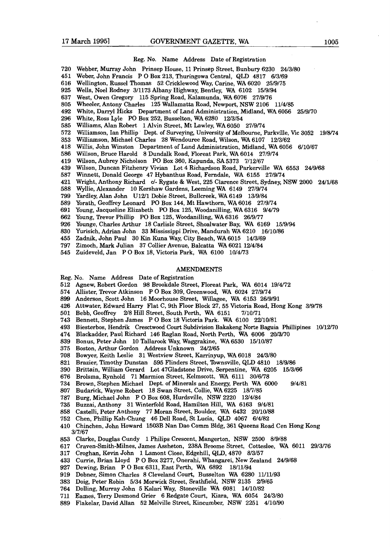#### Reg. NO. Name Address Date of Registration

- 720 Webber, Murray John Prinsep House, 11 Prinsep Street, Bunbury 6230 24/3/80
- 451 Weber, John Francis P 0 Box 213, Thuringowa Central, **QLD** 4817 6/3/69
- 616 Wellington, Russel Thomas 52 Cricklewood Way, Carine, WA 6020 25/9/75
- 925 Wells, Noel Rodney 311173 Albany Highway, Bentley, WA 6102 15/9/94
- 637 West, Owen Gregory 115 Spring Road, Kalamunda, WA 6076 27/9/76
- Wheeler, Antony Charles 125 Wallamatta Road, Newport, NSW 2106 11/4/85 805
- 492 White, Darryl Hicks Department of Land Administration, Midland, WA 6056 25/9/70
- 296 White, Ross Lyle PO Box 252, Busselton, WA 6280 12/3/54
- 585 Williams, Alan Robert 1 Alvin Street, Mt Lawley, WA 6050 27/9/74
- 572 Williamson, **Ian** Phillip ' Dept. of Surveying, University of Melbourne, Parkville, Vrc 3052 19/8/74
- 353
- Williamson, Michael Charles 28 Wendouree Road, Wilson, WA 6107 12/3/62 418
- Willis, John Winston Department of Land Administration, Midland, WA 6056 6/10/67
- 586 Willson, Bruce Harold **B** Dundalk Road, Floreat Park, WA 6014 27/9/74
- 419 Wilson, Aubrey Nicholson PO Box 360, Kapunda, SA 5373 7/12/67
- 439 Wilson, Duncan Fitzhenry Vivian Lot 4 Richardson Road, Parkerville WA 6553 24/9/68
- 587 Winnett, Donald George 47 Hybanthus Road, Ferndale, WA 6155 27/9/74
- 421 Wright, Anthony Richard **c/-** Rygate & West, 225 Clarence Street, Sydney, NSW 2000 244U68
- 588 Wyllie, Alexander 10 Kershaw Gardens, Leeming WA 6149 27/9/74
- Yardley, Alan John U12/1 Dobie Street, Bullcreek, WA 6149 13/9/84 799
- 589 Yorath, Geoffrey Leonard PO Box 144, Mt Hawthorn, WA 6016 27/9/74
- Young, Jacqueline Elizabeth PO Box 125, Woodanilling, WA 6316 9/4/79 691
- Young, Trevor Phillip PO Box 125, Woodanilling, WA 6316 26/9/77 662
- 926 Younge, Charles Arthur 18 Carlisle Street, Shoalwater Bay, WA 6169 15/9/94
- 830 Yurisich, Adrian John 33 Mississippi Drive, Mandurah WA 6210 16/10/86
- Zadnik, John Paul 30 **Kin** Kuna Way, City Beach, WA 6015 14/3/69 455
- Zimoch, Mark Julian 37 Collier Avenue, Balcatta WA 6021 12/4/84 797
- Zuideveld, Jan PO Box 18, Victoria Park, WA 6100 10/4/73 545

#### AMENDMENTS

- Reg. No. Name Address Date of Registration
- 512 Agnew, Robert Gordon 98 Brookdale Street, Floreat Park, WA 6014 19/4/72
- 
- 574 Allister, Trevor Atkinson P 0 Box 309, Greenwood, WA 6024 27/9/74 899 Anderson, Scott John 16 Moorhouse Street, Willagee, WA 6153 26/9/91
- 426 Attwater, Edward Harry Flat C, 9th Floor Block 27,55 Victoria Road, Hong **Kong** 3/9/78
- 501 Bebb, Geoffrey 218 Hill Street, South Perth, WA 6151 7/10/71
- 
- 743 Bennett, Stephen James P 0 Box 18 Victoria Park. WA 6100 22/10/81 493 Biesterbos, Hendrik Cresctwood Court Subdivision Bakakeng Norte Baguia Phillipines 10112f70
- 474 Blackadder, Paul Richard 146 Raglan Road, North Perth, WA 6006 20/3/70
- 839 Bonus, Peter John 10 Tallarook Way, Waggrakine, WA 6530 15/10/87
- 375 Boston, Arthur Gordon Address Unknown 24/2/65
- 708 Bowyer, Keith Leslie 31 Westview Street, Karrinyup, WA 6018 24/3/80
- 821 Brazier, Timothy Dunstan 595 minders Street, 'lbwnsville, **QLD** 4810 18/9/86
- 390 Brittain, William Gerard Lot 47Gladstone Drive, Serpentine, WA 6205 15/3/66
- 676 Brolsma, Rynhold 71 Marmion Street, Kelmscott, WA 6111 30/6/78
- 734 **Brown,** Stephen Michael Dept. of Minerals and Energy, Perth WA 6000 9/4/81
- 807 Budarick, Wayne Robert 18 Swan Street, Collie, WA 6225 18/7/85
- 
- 787 Burg, Michael John P 0 Box 608, Hurdsville, NSW 2220 12/4/84 735 Buzzai, Anthony 31 Winterfold Road, Hamilton Hill, WA 6163 9/4/81
- 858 Castelli, Peter Anthony 77 Moran Street, Boulder, WA 6432 20/10/88
- 
- 752 Chen, Phillip Kah-Chung 46 Dell Road, St Lucia, **QLD** 4067 6/4/82
- 410 Chinchen, John Howard 1503B Nan Dao Comm Bldg, 361 Queens Road Cen Hong Kong 3/7/67
- Clarke, Douglas Cundy 1 Philips Crescent, Mangerton, NSW 2500 8/9/88
- CravenSmith-Milnes, James Assheton, 238A Broome Street, Cottesioe, WA 6011 29/3/76 617
- Croghan, Kevin John 1 Lamont Close, Edgehill, QLD, 4870 8/3/57 317
- 433 Currie, Brian Lloyd P 0 Box 3277, Onerahi, Whangarei, New Zealand 24/9/68
- 927 Dewing, **Brim** P 0 Box 6311, East Perth, WA 6892 18/11/94
- 919 Dobner, Simon Charles 8 Cleveland Court, Busselton WA 6280 11/11/93
- 383 Doig, Peter Robin 5/34 Morwick Street, Srathfield, NSW 2135 2/9/65
- 764 Dolling, Murray John 5 Kalari Way, Stoneville WA 6081 14/10/82
- Earnes, Terry Desmond Grier 6 Redgate Court, Kiara, WA 6054 24/3/80 711
- Flakelar, David Allan 52 Melville Street, Kincumber, NSW 2251 4/10/90 889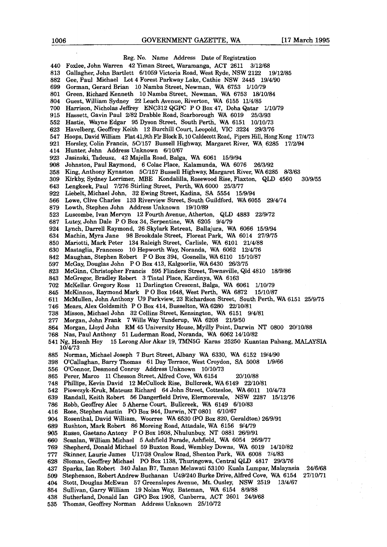**1006 GOVERNMENT GAZETTE, WA [l7 March 1995** 

|            | Reg. No. Name Address Date of Registration                                                                                                                   |
|------------|--------------------------------------------------------------------------------------------------------------------------------------------------------------|
| 440        | Foxlee, John Warren 42 Yiman Street, Waramanga, ACT 2611<br>3/12/68                                                                                          |
| 813        | Gallagher, John Bartlett 6/1059 Victoria Road, West Ryde, NSW 2122<br>19/12/85                                                                               |
| 882        | Gee, Paul Michael Lot 4 Forest Parkway Lake, Cathie NSW 2445 19/4/90                                                                                         |
| 699        | Gorman, Gerard Brian 10 Namba Street, Newman, WA 6753 1/10/79                                                                                                |
| 801        | Green, Richard Kenneth 10 Namba Street, Newman, WA 6753 18/10/84                                                                                             |
| 804        | Guest, William Sydney 22 Leach Avenue, Riverton, WA 6155 11/4/85                                                                                             |
| 700        | Harrison, Nicholas Jeffrey ENC312 QGPC PO Box 47, Doha Qatar 1/10/79                                                                                         |
| 915        | Hassett, Gavin Paul 2/82 Drabble Road, Scarborough WA 6019<br>25/3/93                                                                                        |
| 552        | Hastie, Wayne Edgar 95 Dyson Street, South Perth, WA 6151 10/10/73                                                                                           |
| 623        | Havelberg, Geoffrey Keith 12 Burchill Court, Leopold, VIC 3224 29/3/76                                                                                       |
| 547        | Hoops, David William Flat 41,9th Flr Block B, 10 Caldecott Road, Pipers Hill, Hong Kong 17/4/73                                                              |
| 921        | Horsley, Colin Francis, 5C/157 Bussell Highway, Margaret River, WA 6285 17/2/94                                                                              |
| 414        | Hunter, John Address Unknown 6/10/67                                                                                                                         |
| 923        | Jasinski, Tadeusz, 42 Majella Road, Balga, WA 6061 15/9/94                                                                                                   |
| 908        | Johnston, Paul Raymond, 6 Colac Place, Kalamunda, WA 6076<br>26/3/92                                                                                         |
| 358        | King, Anthony Kynaston 5C/157 Bussell Highway, Margaret River, WA 6285 8/3/63                                                                                |
| 309        | Kirkby, Sydney Lorrimer, MBE Kondalilla, Rosewood Rise, Flaxton, QLD 4560<br>30/9/55                                                                         |
| 643        | Lengkeek, Paul 7/276 Stirling Street, Perth, WA 6000 25/3/77                                                                                                 |
| 922        | Liebelt, Michael John, 32 Ewing Street, Kadina, SA 5554 15/9/94                                                                                              |
| 566        | Lowe, Clive Charles 133 Riverview Street, South Guildford, WA 6055 29/4/74                                                                                   |
| 879        | Lowth, Stephen John Address Unknown 19/10/89                                                                                                                 |
| 523        | Luscombe, Ivan Mervyn 12 Fourth Avenue, Atherton, QLD 4883 22/9/72                                                                                           |
| 687        | Lutey, John Dale P O Box 34, Serpentine, WA 6205 9/4/79                                                                                                      |
| 924        | Lynch, Darrell Raymond, 26 Skylark Retreat, Ballajura, WA 6066 15/9/94                                                                                       |
| 634        | Machin, Myra Jane 98 Brookdale Street, Floreat Park, WA 6014 27/9/75                                                                                         |
| 850        | Mariotti, Mark Peter 134 Raleigh Street, Carlisle, WA 6101 21/4/88<br>Mastaglia, Francesco 10 Hepworth Way, Noranda, WA 6062 12/4/76                         |
| 630<br>842 | Maughan, Stephen Robert P O Box 394, Gosnells, WA 6110 15/10/87                                                                                              |
| 597        | McGay, Douglas John PO Box 413, Kalgoorlie, WA 6430 26/3/75                                                                                                  |
| 823        | McGinn, Christopher Francis 595 Flinders Street, Townsville, Qld 4810 18/9/86                                                                                |
| 843        | McGregor, Bradley Robert 3 Tintal Place, Kardinya, WA 6163                                                                                                   |
| 702        | McKellar. Gregory Ross 11 Darlington Crescent, Balga, WA 6061<br><b>1/10/79</b>                                                                              |
| 845        | McKinnon, Raymond Mark PO Box 1648, West Perth, WA 6872<br>15/10/87                                                                                          |
| 611        | McMullen, John Anthony U9 Parkview, 23 Richardson Street, South Perth, WA 6151 25/9/75                                                                       |
| 746        | Mears, Alex Goldsmith P O Box 414, Busselton, WA 6280 22/10/81                                                                                               |
| 738        | Misson, Michael John 32 Collins Street, Kensington, WA 6151 9/4/81                                                                                           |
| 277        | Morgan, John Frank 7 Wills Way Yunderup, WA 6208<br>21/9/50                                                                                                  |
| 864        | Morgan, Lloyd John RM 45 University House, Myilly Point, Darwin NT 0800 20/10/88                                                                             |
| 768        | Nas, Paul Anthony 51 Luderman Road, Noranda, WA 6062 14/10/82                                                                                                |
|            | 541 Ng, Hoonh Hoy 15 Lorong Alor Akar 19, TMN5G Karas 25250 Kuantan Pahang, MALAYSIA                                                                         |
|            | 10/4/73                                                                                                                                                      |
| 885        | Norman, Michael Joseph 7 Burt Street, Albany WA 6330, WA 6152 19/4/90                                                                                        |
| 398        | O'Callaghan, Barry Thomas 61 Day Terrace, West Croydon, SA 5008<br>1/9/66                                                                                    |
| 556        | O'Connor, Desmond Conroy Address Unknown 10/10/73                                                                                                            |
| 865        | Perer, Marco 11 Chesson Street, Alfred Cove, WA 6154<br>20/10/88                                                                                             |
| 748        | Phillips, Kevin David 12 McCullock Rise, Bullcreek, WA 6149 22/10/81                                                                                         |
| 542        | Piowczyk-Kruk, Mateusz Richard 64 John Street, Cottesloe, WA 6011<br>10/4/73                                                                                 |
| 639        | Randall, Keith Robert 56 Dangerfield Drive, Elermorevale, NSW 2287 15/12/76                                                                                  |
| 786        | Robb, Geoffrey Alec 5 Aherne Court, Bullcreek, WA 6149 6/10/83                                                                                               |
| 416        | Rose, Stephen Austin PO Box 944, Darwin, NT 0801 6/10/67                                                                                                     |
| 904        | Rosenthal, David William, Woorree WA 6530 (PO Box 820, Geraldton) 26/9/91                                                                                    |
| 689        | Rushton, Mark Robert 86 Moreing Road, Attadale, WA 6156 9/4/79                                                                                               |
| 905        | Russo, Gaetano Antony PO Box 1608, Nhulunbuy, NT 0881 26/9/91                                                                                                |
| 660        | Scanlan, William Michael 5 Ashfield Parade, Ashfield, WA 6054 26/9/77                                                                                        |
| 769        | Shepherd, Donald Michael 59 Buxton Road, Wembley Downs, WA 6019 14/10/82                                                                                     |
| 777        | Skinner, Laurie James U17/38 Onslow Road, Shenton Park, WA 6008 7/4/83                                                                                       |
| 628        | Sloman, Geoffrey Michael PO Box 1138, Thuringowa, Central QLD 4817 29/3/76                                                                                   |
| 437        | Sparks, Ian Robert 340 Jalan B7, Taman Melawati 53100 Kuala Lumpar, Malayasia<br>24/6/68<br>27/10/71                                                         |
| 509        | Stephenson, Robert Andrew Buchanan U49/240 Burke Drive, Alfred Cove, WA 6154<br>Stott, Douglas McEwan 57 Greenslopes Avenue, Mt. Ousley, NSW 2519<br>13/4/67 |
| 404        | Sullivan, Garry William 19 Nolan Way, Bateman, WA 6154 8/9/88                                                                                                |
| 854<br>438 | Sutherland, Donald Ian GPO Box 1908, Canberra, ACT 2601 24/9/68                                                                                              |
| 535        | Thomas, Geoffrey Norman Address Unknown 25/10/72                                                                                                             |
|            |                                                                                                                                                              |

 $\bar{z}$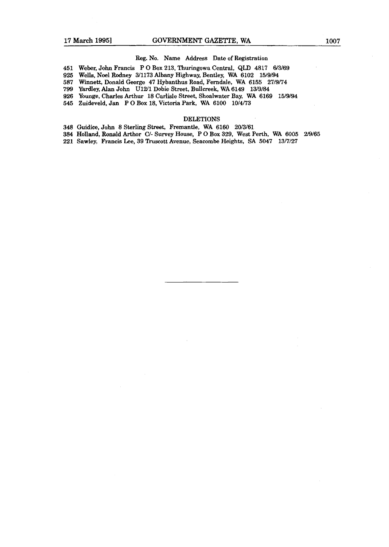#### **Reg.** No. Name Address Date of Registration

- 451 Weber, John Francis P **0** Box 213, Thuringowa Central, **QLD** 4817 6/3/69
- 925 Wells, **Noel** Rodney 311173 Albany Highway, Bentley, **WA** 6102 15/9/94
- 587 Winnett, Donald George 47 Hybanthus Road, Ferndale, **WA** 6155 27/9/74
- 799 Ydey, **Alan** John U1211 Dobie Street, Bullcreek, WA 6149 13/9/84
- 926 Younge, Charles Arthur 18 Carlisle Street, Shoalwater Bay, WA 6169 15/9/94
- 545 Zuideveld, Jan P **0** Box 18, Victoria Park, WA 6100 1014173

#### DELETIONS

- 348 Guidice, John 8 Sterling Street, Fremantle, WA 6160 20/3/61
- **384** Holland, Ronald Arthor **C/-** Survey House, P **0** Box 329, West Perth, WA 6005 2/9/65
- 221 Sawley, Francis Lee, 39 Truscott Avenue, Seacornbe Heights, **SA** 5047 13/7/27